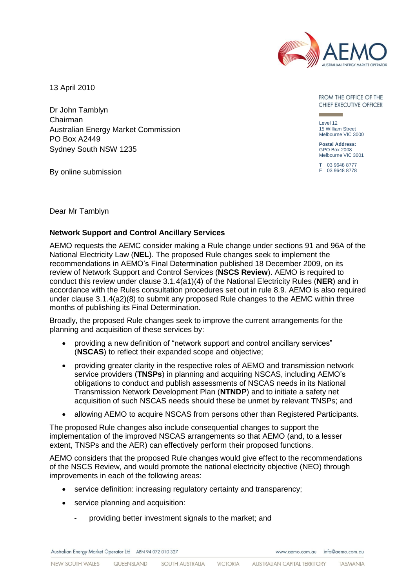

13 April 2010

Dr John Tamblyn Chairman Australian Energy Market Commission PO Box A2449 Sydney South NSW 1235

By online submission

FROM THE OFFICE OF THE CHIEF EXECUTIVE OFFICER

Level 12 15 William Street Melbourne VIC 3000

**Postal Address:** GPO Box 2008 Melbourne VIC 3001

T 03 9648 8777 F 03 9648 8778

Dear Mr Tamblyn

#### **Network Support and Control Ancillary Services**

AEMO requests the AEMC consider making a Rule change under sections 91 and 96A of the National Electricity Law (**NEL**). The proposed Rule changes seek to implement the recommendations in AEMO"s Final Determination published 18 December 2009, on its review of Network Support and Control Services (**NSCS Review**). AEMO is required to conduct this review under clause 3.1.4(a1)(4) of the National Electricity Rules (**NER**) and in accordance with the Rules consultation procedures set out in rule 8.9. AEMO is also required under clause 3.1.4(a2)(8) to submit any proposed Rule changes to the AEMC within three months of publishing its Final Determination.

Broadly, the proposed Rule changes seek to improve the current arrangements for the planning and acquisition of these services by:

- providing a new definition of "network support and control ancillary services" (**NSCAS**) to reflect their expanded scope and objective;
- providing greater clarity in the respective roles of AEMO and transmission network service providers (**TNSPs**) in planning and acquiring NSCAS, including AEMO"s obligations to conduct and publish assessments of NSCAS needs in its National Transmission Network Development Plan (**NTNDP**) and to initiate a safety net acquisition of such NSCAS needs should these be unmet by relevant TNSPs; and
- allowing AEMO to acquire NSCAS from persons other than Registered Participants.

The proposed Rule changes also include consequential changes to support the implementation of the improved NSCAS arrangements so that AEMO (and, to a lesser extent, TNSPs and the AER) can effectively perform their proposed functions.

AEMO considers that the proposed Rule changes would give effect to the recommendations of the NSCS Review, and would promote the national electricity objective (NEO) through improvements in each of the following areas:

- service definition: increasing regulatory certainty and transparency;
- service planning and acquisition:
	- providing better investment signals to the market; and

Australian Energy Market Operator Ltd ABN 94 072 010 327

www.aemo.com.au info@aemo.com.au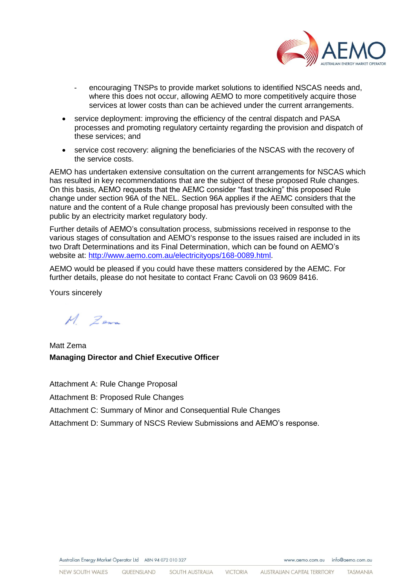

- encouraging TNSPs to provide market solutions to identified NSCAS needs and, where this does not occur, allowing AEMO to more competitively acquire those services at lower costs than can be achieved under the current arrangements.
- service deployment: improving the efficiency of the central dispatch and PASA processes and promoting regulatory certainty regarding the provision and dispatch of these services; and
- service cost recovery: aligning the beneficiaries of the NSCAS with the recovery of the service costs.

AEMO has undertaken extensive consultation on the current arrangements for NSCAS which has resulted in key recommendations that are the subject of these proposed Rule changes. On this basis, AEMO requests that the AEMC consider "fast tracking" this proposed Rule change under section 96A of the NEL. Section 96A applies if the AEMC considers that the nature and the content of a Rule change proposal has previously been consulted with the public by an electricity market regulatory body.

Further details of AEMO"s consultation process, submissions received in response to the various stages of consultation and AEMO's response to the issues raised are included in its two Draft Determinations and its Final Determination, which can be found on AEMO"s website at: [http://www.aemo.com.au/electricityops/168-0089.html.](http://www.aemo.com.au/electricityops/168-0089.html)

AEMO would be pleased if you could have these matters considered by the AEMC. For further details, please do not hesitate to contact Franc Cavoli on 03 9609 8416.

Yours sincerely

 $M$  Zena

Matt Zema **Managing Director and Chief Executive Officer** 

Attachment A: Rule Change Proposal

Attachment B: Proposed Rule Changes

Attachment C: Summary of Minor and Consequential Rule Changes

Attachment D: Summary of NSCS Review Submissions and AEMO"s response.

www.aemo.com.au info@aemo.com.au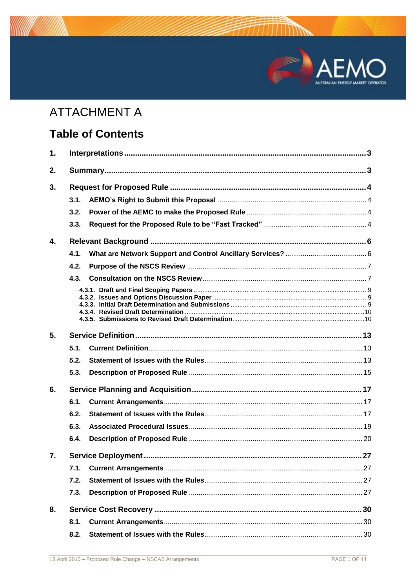# MARKET OPERATOR

# **ATTACHMENT A**

# **Table of Contents**

| 1. |      |  |  |  |
|----|------|--|--|--|
| 2. |      |  |  |  |
| 3. |      |  |  |  |
|    | 3.1. |  |  |  |
|    | 3.2. |  |  |  |
|    | 3.3. |  |  |  |
| 4. |      |  |  |  |
|    | 4.1. |  |  |  |
|    | 4.2. |  |  |  |
|    | 4.3. |  |  |  |
|    |      |  |  |  |
|    |      |  |  |  |
| 5. |      |  |  |  |
|    | 5.1. |  |  |  |
|    | 5.2. |  |  |  |
|    | 5.3. |  |  |  |
| 6. |      |  |  |  |
|    | 6.1. |  |  |  |
|    | 6.2. |  |  |  |
|    | 6.3. |  |  |  |
|    | 6.4. |  |  |  |
| 7. |      |  |  |  |
|    | 7.1. |  |  |  |
|    | 7.2. |  |  |  |
|    | 7.3. |  |  |  |
| 8. |      |  |  |  |
|    | 8.1. |  |  |  |
|    |      |  |  |  |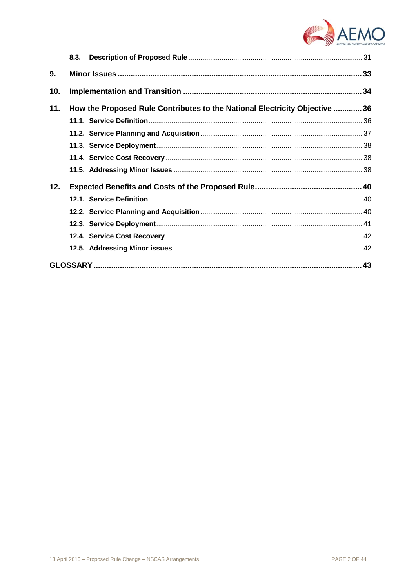

|     | 8.3.                                                                       |  |
|-----|----------------------------------------------------------------------------|--|
| 9.  |                                                                            |  |
| 10. |                                                                            |  |
| 11. | How the Proposed Rule Contributes to the National Electricity Objective 36 |  |
|     |                                                                            |  |
|     |                                                                            |  |
|     |                                                                            |  |
|     |                                                                            |  |
|     |                                                                            |  |
| 12. |                                                                            |  |
|     |                                                                            |  |
|     |                                                                            |  |
|     |                                                                            |  |
|     |                                                                            |  |
|     |                                                                            |  |
|     |                                                                            |  |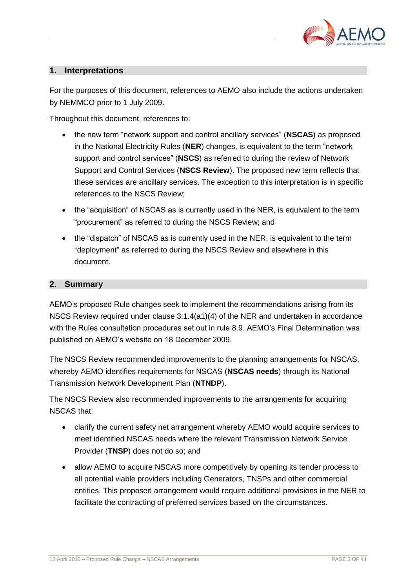

# <span id="page-4-0"></span>**1. Interpretations**

For the purposes of this document, references to AEMO also include the actions undertaken by NEMMCO prior to 1 July 2009.

Throughout this document, references to:

- the new term "network support and control ancillary services" (**NSCAS**) as proposed in the National Electricity Rules (**NER**) changes, is equivalent to the term "network support and control services" (**NSCS**) as referred to during the review of Network Support and Control Services (**NSCS Review**). The proposed new term reflects that these services are ancillary services. The exception to this interpretation is in specific references to the NSCS Review;
- the "acquisition" of NSCAS as is currently used in the NER, is equivalent to the term "procurement" as referred to during the NSCS Review; and
- the "dispatch" of NSCAS as is currently used in the NER, is equivalent to the term "deployment" as referred to during the NSCS Review and elsewhere in this document.

#### <span id="page-4-1"></span>**2. Summary**

AEMO"s proposed Rule changes seek to implement the recommendations arising from its NSCS Review required under clause 3.1.4(a1)(4) of the NER and undertaken in accordance with the Rules consultation procedures set out in rule 8.9. AEMO"s Final Determination was published on AEMO"s website on 18 December 2009.

The NSCS Review recommended improvements to the planning arrangements for NSCAS, whereby AEMO identifies requirements for NSCAS (**NSCAS needs**) through its National Transmission Network Development Plan (**NTNDP**).

The NSCS Review also recommended improvements to the arrangements for acquiring NSCAS that:

- clarify the current safety net arrangement whereby AEMO would acquire services to meet identified NSCAS needs where the relevant Transmission Network Service Provider (**TNSP**) does not do so; and
- allow AEMO to acquire NSCAS more competitively by opening its tender process to all potential viable providers including Generators, TNSPs and other commercial entities. This proposed arrangement would require additional provisions in the NER to facilitate the contracting of preferred services based on the circumstances.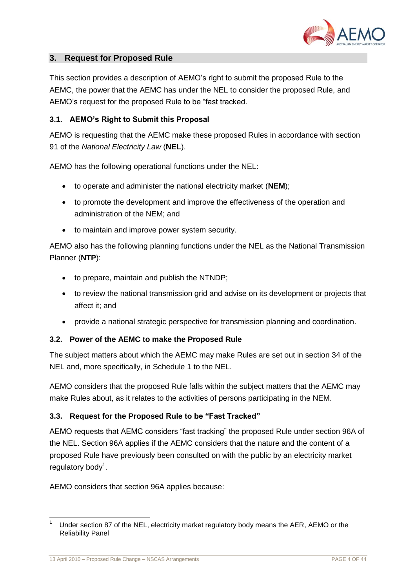

# <span id="page-5-0"></span>**3. Request for Proposed Rule**

This section provides a description of AEMO"s right to submit the proposed Rule to the AEMC, the power that the AEMC has under the NEL to consider the proposed Rule, and AEMO"s request for the proposed Rule to be "fast tracked.

# <span id="page-5-1"></span>**3.1. AEMO's Right to Submit this Proposal**

AEMO is requesting that the AEMC make these proposed Rules in accordance with section 91 of the *National Electricity Law* (**NEL**).

AEMO has the following operational functions under the NEL:

- to operate and administer the national electricity market (**NEM**);
- to promote the development and improve the effectiveness of the operation and administration of the NEM; and
- to maintain and improve power system security.

AEMO also has the following planning functions under the NEL as the National Transmission Planner (**NTP**):

- to prepare, maintain and publish the NTNDP;
- to review the national transmission grid and advise on its development or projects that affect it; and
- provide a national strategic perspective for transmission planning and coordination.

#### <span id="page-5-2"></span>**3.2. Power of the AEMC to make the Proposed Rule**

The subject matters about which the AEMC may make Rules are set out in section 34 of the NEL and, more specifically, in Schedule 1 to the NEL.

AEMO considers that the proposed Rule falls within the subject matters that the AEMC may make Rules about, as it relates to the activities of persons participating in the NEM.

#### <span id="page-5-3"></span>**3.3. Request for the Proposed Rule to be "Fast Tracked"**

AEMO requests that AEMC considers "fast tracking" the proposed Rule under section 96A of the NEL. Section 96A applies if the AEMC considers that the nature and the content of a proposed Rule have previously been consulted on with the public by an electricity market regulatory body<sup>1</sup>.

AEMO considers that section 96A applies because:

l

Under section 87 of the NEL, electricity market regulatory body means the AER, AEMO or the Reliability Panel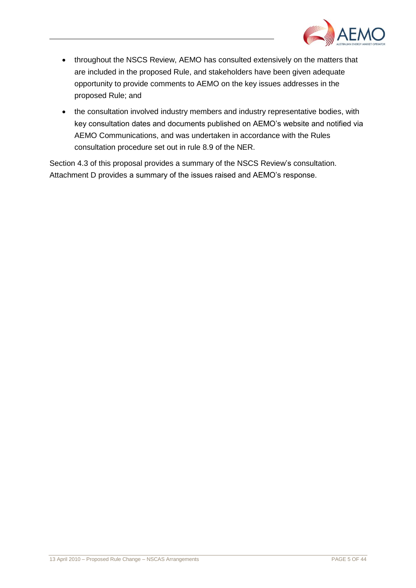

- throughout the NSCS Review, AEMO has consulted extensively on the matters that are included in the proposed Rule, and stakeholders have been given adequate opportunity to provide comments to AEMO on the key issues addresses in the proposed Rule; and
- the consultation involved industry members and industry representative bodies, with key consultation dates and documents published on AEMO"s website and notified via AEMO Communications, and was undertaken in accordance with the Rules consultation procedure set out in rule 8.9 of the NER.

Section 4.3 of this proposal provides a summary of the NSCS Review's consultation. Attachment D provides a summary of the issues raised and AEMO"s response.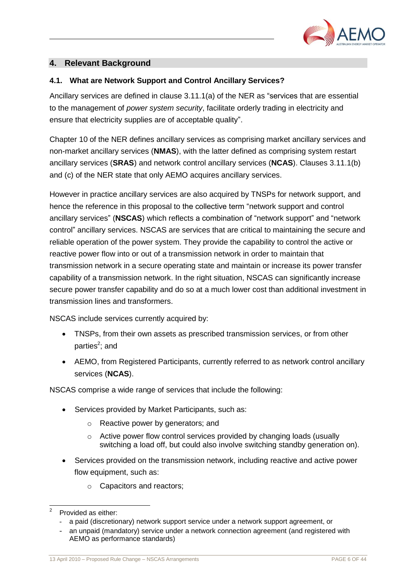

# <span id="page-7-0"></span>**4. Relevant Background**

# <span id="page-7-1"></span>**4.1. What are Network Support and Control Ancillary Services?**

Ancillary services are defined in clause 3.11.1(a) of the NER as "services that are essential to the management of *power system security*, facilitate orderly trading in electricity and ensure that electricity supplies are of acceptable quality".

Chapter 10 of the NER defines ancillary services as comprising market ancillary services and non-market ancillary services (**NMAS**), with the latter defined as comprising system restart ancillary services (**SRAS**) and network control ancillary services (**NCAS**). Clauses 3.11.1(b) and (c) of the NER state that only AEMO acquires ancillary services.

However in practice ancillary services are also acquired by TNSPs for network support, and hence the reference in this proposal to the collective term "network support and control ancillary services" (**NSCAS**) which reflects a combination of "network support" and "network control" ancillary services. NSCAS are services that are critical to maintaining the secure and reliable operation of the power system. They provide the capability to control the active or reactive power flow into or out of a transmission network in order to maintain that transmission network in a secure operating state and maintain or increase its power transfer capability of a transmission network. In the right situation, NSCAS can significantly increase secure power transfer capability and do so at a much lower cost than additional investment in transmission lines and transformers.

NSCAS include services currently acquired by:

- TNSPs, from their own assets as prescribed transmission services, or from other parties<sup>2</sup>; and
- AEMO, from Registered Participants, currently referred to as network control ancillary services (**NCAS**).

NSCAS comprise a wide range of services that include the following:

- Services provided by Market Participants, such as:
	- o Reactive power by generators; and
	- o Active power flow control services provided by changing loads (usually switching a load off, but could also involve switching standby generation on).
- Services provided on the transmission network, including reactive and active power flow equipment, such as:
	- o Capacitors and reactors;

 $\overline{a}$ 2 Provided as either:

<sup>-</sup> a paid (discretionary) network support service under a network support agreement, or

an unpaid (mandatory) service under a network connection agreement (and registered with AEMO as performance standards)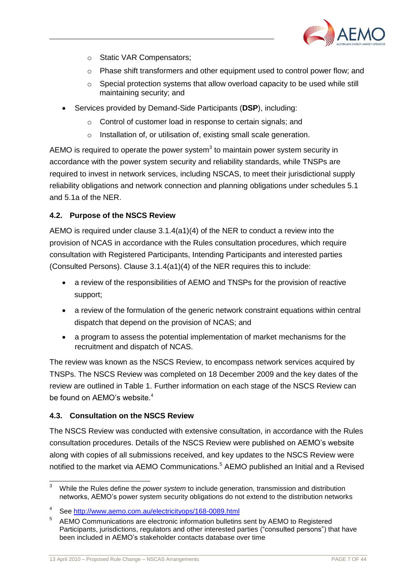

- o Static VAR Compensators;
- $\circ$  Phase shift transformers and other equipment used to control power flow; and
- $\circ$  Special protection systems that allow overload capacity to be used while still maintaining security; and
- Services provided by Demand-Side Participants (**DSP**), including:
	- o Control of customer load in response to certain signals; and
	- o Installation of, or utilisation of, existing small scale generation.

AEMO is required to operate the power system $3$  to maintain power system security in accordance with the power system security and reliability standards, while TNSPs are required to invest in network services, including NSCAS, to meet their jurisdictional supply reliability obligations and network connection and planning obligations under schedules 5.1 and 5.1a of the NER.

#### <span id="page-8-0"></span>**4.2. Purpose of the NSCS Review**

AEMO is required under clause 3.1.4(a1)(4) of the NER to conduct a review into the provision of NCAS in accordance with the Rules consultation procedures, which require consultation with Registered Participants, Intending Participants and interested parties (Consulted Persons). Clause 3.1.4(a1)(4) of the NER requires this to include:

- a review of the responsibilities of AEMO and TNSPs for the provision of reactive support;
- a review of the formulation of the generic network constraint equations within central dispatch that depend on the provision of NCAS; and
- a program to assess the potential implementation of market mechanisms for the recruitment and dispatch of NCAS.

The review was known as the NSCS Review, to encompass network services acquired by TNSPs. The NSCS Review was completed on 18 December 2009 and the key dates of the review are outlined in Table 1. Further information on each stage of the NSCS Review can be found on AEMO's website.<sup>4</sup>

#### <span id="page-8-1"></span>**4.3. Consultation on the NSCS Review**

l

The NSCS Review was conducted with extensive consultation, in accordance with the Rules consultation procedures. Details of the NSCS Review were published on AEMO"s website along with copies of all submissions received, and key updates to the NSCS Review were notified to the market via AEMO Communications. <sup>5</sup> AEMO published an Initial and a Revised

<sup>3</sup> While the Rules define the *power system* to include generation, transmission and distribution networks, AEMO"s power system security obligations do not extend to the distribution networks

<sup>4</sup> See<http://www.aemo.com.au/electricityops/168-0089.html>

<sup>5</sup> AEMO Communications are electronic information bulletins sent by AEMO to Registered Participants, jurisdictions, regulators and other interested parties ("consulted persons") that have been included in AEMO"s stakeholder contacts database over time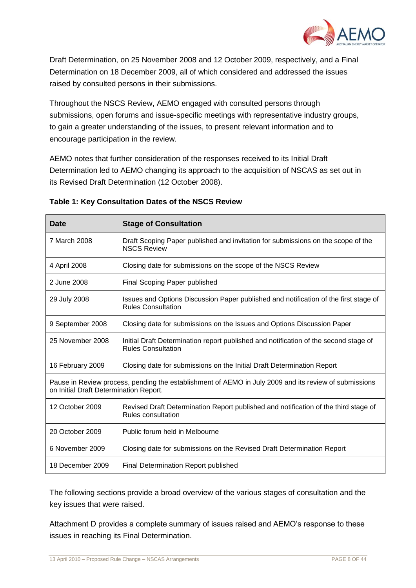

Draft Determination, on 25 November 2008 and 12 October 2009, respectively, and a Final Determination on 18 December 2009, all of which considered and addressed the issues raised by consulted persons in their submissions.

Throughout the NSCS Review, AEMO engaged with consulted persons through submissions, open forums and issue-specific meetings with representative industry groups, to gain a greater understanding of the issues, to present relevant information and to encourage participation in the review.

AEMO notes that further consideration of the responses received to its Initial Draft Determination led to AEMO changing its approach to the acquisition of NSCAS as set out in its Revised Draft Determination (12 October 2008).

| <b>Date</b>                                                                                                                                     | <b>Stage of Consultation</b>                                                                                      |  |  |  |
|-------------------------------------------------------------------------------------------------------------------------------------------------|-------------------------------------------------------------------------------------------------------------------|--|--|--|
| 7 March 2008                                                                                                                                    | Draft Scoping Paper published and invitation for submissions on the scope of the<br><b>NSCS Review</b>            |  |  |  |
| 4 April 2008                                                                                                                                    | Closing date for submissions on the scope of the NSCS Review                                                      |  |  |  |
| 2 June 2008                                                                                                                                     | Final Scoping Paper published                                                                                     |  |  |  |
| 29 July 2008                                                                                                                                    | Issues and Options Discussion Paper published and notification of the first stage of<br><b>Rules Consultation</b> |  |  |  |
| 9 September 2008                                                                                                                                | Closing date for submissions on the Issues and Options Discussion Paper                                           |  |  |  |
| 25 November 2008                                                                                                                                | Initial Draft Determination report published and notification of the second stage of<br><b>Rules Consultation</b> |  |  |  |
| 16 February 2009                                                                                                                                | Closing date for submissions on the Initial Draft Determination Report                                            |  |  |  |
| Pause in Review process, pending the establishment of AEMO in July 2009 and its review of submissions<br>on Initial Draft Determination Report. |                                                                                                                   |  |  |  |
| 12 October 2009                                                                                                                                 | Revised Draft Determination Report published and notification of the third stage of<br>Rules consultation         |  |  |  |
| 20 October 2009                                                                                                                                 | Public forum held in Melbourne                                                                                    |  |  |  |
| 6 November 2009                                                                                                                                 | Closing date for submissions on the Revised Draft Determination Report                                            |  |  |  |
| 18 December 2009                                                                                                                                | Final Determination Report published                                                                              |  |  |  |

#### **Table 1: Key Consultation Dates of the NSCS Review**

The following sections provide a broad overview of the various stages of consultation and the key issues that were raised.

Attachment D provides a complete summary of issues raised and AEMO"s response to these issues in reaching its Final Determination.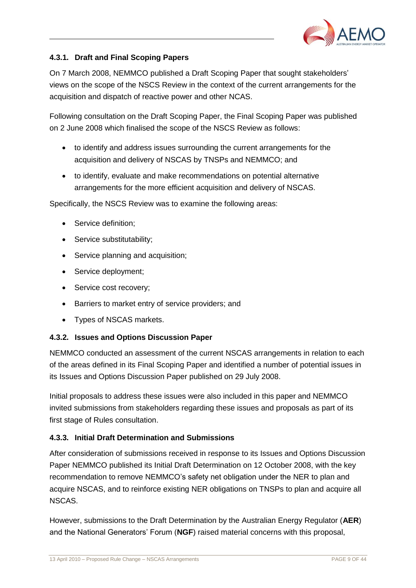

# <span id="page-10-0"></span>**4.3.1. Draft and Final Scoping Papers**

On 7 March 2008, NEMMCO published a Draft Scoping Paper that sought stakeholders" views on the scope of the NSCS Review in the context of the current arrangements for the acquisition and dispatch of reactive power and other NCAS.

Following consultation on the Draft Scoping Paper, the Final Scoping Paper was published on 2 June 2008 which finalised the scope of the NSCS Review as follows:

- to identify and address issues surrounding the current arrangements for the acquisition and delivery of NSCAS by TNSPs and NEMMCO; and
- to identify, evaluate and make recommendations on potential alternative arrangements for the more efficient acquisition and delivery of NSCAS.

Specifically, the NSCS Review was to examine the following areas:

- Service definition:
- Service substitutability;
- Service planning and acquisition;
- Service deployment;
- Service cost recovery;
- Barriers to market entry of service providers; and
- Types of NSCAS markets.

# <span id="page-10-1"></span>**4.3.2. Issues and Options Discussion Paper**

NEMMCO conducted an assessment of the current NSCAS arrangements in relation to each of the areas defined in its Final Scoping Paper and identified a number of potential issues in its Issues and Options Discussion Paper published on 29 July 2008.

Initial proposals to address these issues were also included in this paper and NEMMCO invited submissions from stakeholders regarding these issues and proposals as part of its first stage of Rules consultation.

# <span id="page-10-2"></span>**4.3.3. Initial Draft Determination and Submissions**

After consideration of submissions received in response to its Issues and Options Discussion Paper NEMMCO published its Initial Draft Determination on 12 October 2008, with the key recommendation to remove NEMMCO"s safety net obligation under the NER to plan and acquire NSCAS, and to reinforce existing NER obligations on TNSPs to plan and acquire all NSCAS.

However, submissions to the Draft Determination by the Australian Energy Regulator (**AER**) and the National Generators" Forum (**NGF**) raised material concerns with this proposal,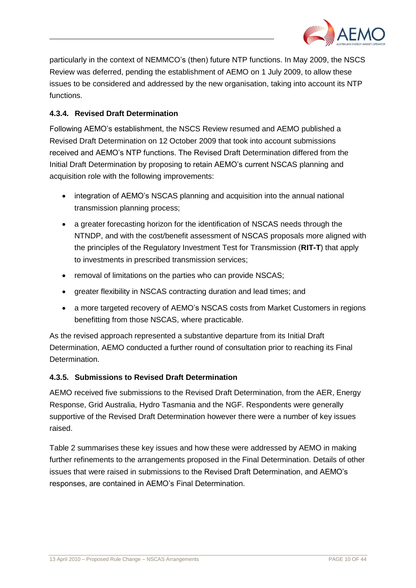

particularly in the context of NEMMCO"s (then) future NTP functions. In May 2009, the NSCS Review was deferred, pending the establishment of AEMO on 1 July 2009, to allow these issues to be considered and addressed by the new organisation, taking into account its NTP functions.

# <span id="page-11-0"></span>**4.3.4. Revised Draft Determination**

Following AEMO"s establishment, the NSCS Review resumed and AEMO published a Revised Draft Determination on 12 October 2009 that took into account submissions received and AEMO"s NTP functions. The Revised Draft Determination differed from the Initial Draft Determination by proposing to retain AEMO"s current NSCAS planning and acquisition role with the following improvements:

- integration of AEMO's NSCAS planning and acquisition into the annual national transmission planning process;
- a greater forecasting horizon for the identification of NSCAS needs through the NTNDP, and with the cost/benefit assessment of NSCAS proposals more aligned with the principles of the Regulatory Investment Test for Transmission (**RIT-T**) that apply to investments in prescribed transmission services;
- removal of limitations on the parties who can provide NSCAS;
- greater flexibility in NSCAS contracting duration and lead times; and
- a more targeted recovery of AEMO"s NSCAS costs from Market Customers in regions benefitting from those NSCAS, where practicable.

As the revised approach represented a substantive departure from its Initial Draft Determination, AEMO conducted a further round of consultation prior to reaching its Final Determination.

# <span id="page-11-1"></span>**4.3.5. Submissions to Revised Draft Determination**

AEMO received five submissions to the Revised Draft Determination, from the AER, Energy Response, Grid Australia, Hydro Tasmania and the NGF. Respondents were generally supportive of the Revised Draft Determination however there were a number of key issues raised.

Table 2 summarises these key issues and how these were addressed by AEMO in making further refinements to the arrangements proposed in the Final Determination. Details of other issues that were raised in submissions to the Revised Draft Determination, and AEMO"s responses, are contained in AEMO"s Final Determination.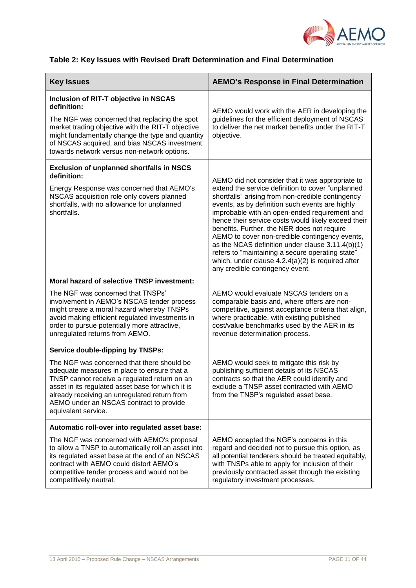

# **Table 2: Key Issues with Revised Draft Determination and Final Determination**

| <b>Key Issues</b>                                                                                                                                                                                                                                                                                                    | <b>AEMO's Response in Final Determination</b>                                                                                                                                                                                                                                                                                                                                                                                                                                                                                                                                                                            |
|----------------------------------------------------------------------------------------------------------------------------------------------------------------------------------------------------------------------------------------------------------------------------------------------------------------------|--------------------------------------------------------------------------------------------------------------------------------------------------------------------------------------------------------------------------------------------------------------------------------------------------------------------------------------------------------------------------------------------------------------------------------------------------------------------------------------------------------------------------------------------------------------------------------------------------------------------------|
| <b>Inclusion of RIT-T objective in NSCAS</b><br>definition:<br>The NGF was concerned that replacing the spot<br>market trading objective with the RIT-T objective<br>might fundamentally change the type and quantity<br>of NSCAS acquired, and bias NSCAS investment<br>towards network versus non-network options. | AEMO would work with the AER in developing the<br>guidelines for the efficient deployment of NSCAS<br>to deliver the net market benefits under the RIT-T<br>objective.                                                                                                                                                                                                                                                                                                                                                                                                                                                   |
| <b>Exclusion of unplanned shortfalls in NSCS</b><br>definition:                                                                                                                                                                                                                                                      |                                                                                                                                                                                                                                                                                                                                                                                                                                                                                                                                                                                                                          |
| Energy Response was concerned that AEMO's<br>NSCAS acquisition role only covers planned<br>shortfalls, with no allowance for unplanned<br>shortfalls.                                                                                                                                                                | AEMO did not consider that it was appropriate to<br>extend the service definition to cover "unplanned<br>shortfalls" arising from non-credible contingency<br>events, as by definition such events are highly<br>improbable with an open-ended requirement and<br>hence their service costs would likely exceed their<br>benefits. Further, the NER does not require<br>AEMO to cover non-credible contingency events,<br>as the NCAS definition under clause 3.11.4(b)(1)<br>refers to "maintaining a secure operating state"<br>which, under clause $4.2.4(a)(2)$ is required after<br>any credible contingency event. |
| Moral hazard of selective TNSP investment:                                                                                                                                                                                                                                                                           |                                                                                                                                                                                                                                                                                                                                                                                                                                                                                                                                                                                                                          |
| The NGF was concerned that TNSPs'<br>involvement in AEMO's NSCAS tender process<br>might create a moral hazard whereby TNSPs<br>avoid making efficient regulated investments in<br>order to pursue potentially more attractive,<br>unregulated returns from AEMO.                                                    | AEMO would evaluate NSCAS tenders on a<br>comparable basis and, where offers are non-<br>competitive, against acceptance criteria that align,<br>where practicable, with existing published<br>cost/value benchmarks used by the AER in its<br>revenue determination process.                                                                                                                                                                                                                                                                                                                                            |
| <b>Service double-dipping by TNSPs:</b>                                                                                                                                                                                                                                                                              |                                                                                                                                                                                                                                                                                                                                                                                                                                                                                                                                                                                                                          |
| The NGF was concerned that there should be<br>adequate measures in place to ensure that a<br>TNSP cannot receive a regulated return on an<br>asset in its regulated asset base for which it is<br>already receiving an unregulated return from<br>AEMO under an NSCAS contract to provide<br>equivalent service.     | AEMO would seek to mitigate this risk by<br>publishing sufficient details of its NSCAS<br>contracts so that the AER could identify and<br>exclude a TNSP asset contracted with AEMO<br>from the TNSP's regulated asset base.                                                                                                                                                                                                                                                                                                                                                                                             |
| Automatic roll-over into regulated asset base:                                                                                                                                                                                                                                                                       |                                                                                                                                                                                                                                                                                                                                                                                                                                                                                                                                                                                                                          |
| The NGF was concerned with AEMO's proposal<br>to allow a TNSP to automatically roll an asset into<br>its regulated asset base at the end of an NSCAS<br>contract with AEMO could distort AEMO's<br>competitive tender process and would not be<br>competitively neutral.                                             | AEMO accepted the NGF's concerns in this<br>regard and decided not to pursue this option, as<br>all potential tenderers should be treated equitably,<br>with TNSPs able to apply for inclusion of their<br>previously contracted asset through the existing<br>regulatory investment processes.                                                                                                                                                                                                                                                                                                                          |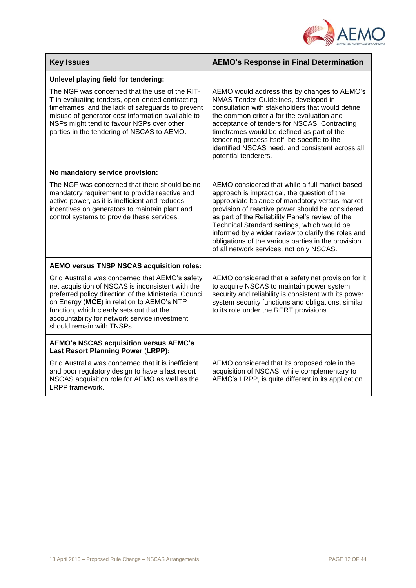

| <b>Key Issues</b>                                                                                                                                                                                                                                                                                                                     | <b>AEMO's Response in Final Determination</b>                                                                                                                                                                                                                                                                                                                                                                                                                     |
|---------------------------------------------------------------------------------------------------------------------------------------------------------------------------------------------------------------------------------------------------------------------------------------------------------------------------------------|-------------------------------------------------------------------------------------------------------------------------------------------------------------------------------------------------------------------------------------------------------------------------------------------------------------------------------------------------------------------------------------------------------------------------------------------------------------------|
| Unlevel playing field for tendering:                                                                                                                                                                                                                                                                                                  |                                                                                                                                                                                                                                                                                                                                                                                                                                                                   |
| The NGF was concerned that the use of the RIT-<br>T in evaluating tenders, open-ended contracting<br>timeframes, and the lack of safeguards to prevent<br>misuse of generator cost information available to<br>NSPs might tend to favour NSPs over other<br>parties in the tendering of NSCAS to AEMO.                                | AEMO would address this by changes to AEMO's<br>NMAS Tender Guidelines, developed in<br>consultation with stakeholders that would define<br>the common criteria for the evaluation and<br>acceptance of tenders for NSCAS. Contracting<br>timeframes would be defined as part of the<br>tendering process itself, be specific to the<br>identified NSCAS need, and consistent across all<br>potential tenderers.                                                  |
| No mandatory service provision:                                                                                                                                                                                                                                                                                                       |                                                                                                                                                                                                                                                                                                                                                                                                                                                                   |
| The NGF was concerned that there should be no<br>mandatory requirement to provide reactive and<br>active power, as it is inefficient and reduces<br>incentives on generators to maintain plant and<br>control systems to provide these services.                                                                                      | AEMO considered that while a full market-based<br>approach is impractical, the question of the<br>appropriate balance of mandatory versus market<br>provision of reactive power should be considered<br>as part of the Reliability Panel's review of the<br>Technical Standard settings, which would be<br>informed by a wider review to clarify the roles and<br>obligations of the various parties in the provision<br>of all network services, not only NSCAS. |
| AEMO versus TNSP NSCAS acquisition roles:                                                                                                                                                                                                                                                                                             |                                                                                                                                                                                                                                                                                                                                                                                                                                                                   |
| Grid Australia was concerned that AEMO's safety<br>net acquisition of NSCAS is inconsistent with the<br>preferred policy direction of the Ministerial Council<br>on Energy (MCE) in relation to AEMO's NTP<br>function, which clearly sets out that the<br>accountability for network service investment<br>should remain with TNSPs. | AEMO considered that a safety net provision for it<br>to acquire NSCAS to maintain power system<br>security and reliability is consistent with its power<br>system security functions and obligations, similar<br>to its role under the RERT provisions.                                                                                                                                                                                                          |
| <b>AEMO's NSCAS acquisition versus AEMC's</b><br><b>Last Resort Planning Power (LRPP):</b>                                                                                                                                                                                                                                            |                                                                                                                                                                                                                                                                                                                                                                                                                                                                   |
| Grid Australia was concerned that it is inefficient<br>and poor regulatory design to have a last resort<br>NSCAS acquisition role for AEMO as well as the<br>LRPP framework.                                                                                                                                                          | AEMO considered that its proposed role in the<br>acquisition of NSCAS, while complementary to<br>AEMC's LRPP, is quite different in its application.                                                                                                                                                                                                                                                                                                              |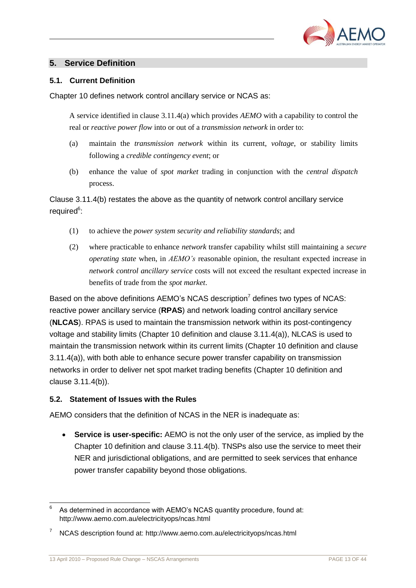

# <span id="page-14-0"></span>**5. Service Definition**

#### <span id="page-14-1"></span>**5.1. Current Definition**

Chapter 10 defines network control ancillary service or NCAS as:

A service identified in clause 3.11.4(a) which provides *AEMO* with a capability to control the real or *reactive power flow* into or out of a *transmission network* in order to:

- (a) maintain the *transmission network* within its current, *voltage*, or stability limits following a *credible contingency event*; or
- (b) enhance the value of *spot market* trading in conjunction with the *central dispatch* process.

Clause 3.11.4(b) restates the above as the quantity of network control ancillary service required<sup>6</sup>:

- (1) to achieve the *power system security and reliability standards*; and
- (2) where practicable to enhance *network* transfer capability whilst still maintaining a *secure operating state* when, in *AEMO's* reasonable opinion, the resultant expected increase in *network control ancillary service* costs will not exceed the resultant expected increase in benefits of trade from the *spot market*.

Based on the above definitions AEMO's NCAS description<sup>7</sup> defines two types of NCAS: reactive power ancillary service (**RPAS**) and network loading control ancillary service (**NLCAS**). RPAS is used to maintain the transmission network within its post-contingency voltage and stability limits (Chapter 10 definition and clause 3.11.4(a)), NLCAS is used to maintain the transmission network within its current limits (Chapter 10 definition and clause 3.11.4(a)), with both able to enhance secure power transfer capability on transmission networks in order to deliver net spot market trading benefits (Chapter 10 definition and clause 3.11.4(b)).

#### <span id="page-14-2"></span>**5.2. Statement of Issues with the Rules**

AEMO considers that the definition of NCAS in the NER is inadequate as:

 **Service is user-specific:** AEMO is not the only user of the service, as implied by the Chapter 10 definition and clause 3.11.4(b). TNSPs also use the service to meet their NER and jurisdictional obligations, and are permitted to seek services that enhance power transfer capability beyond those obligations.

l 6 As determined in accordance with AEMO's NCAS quantity procedure, found at: http://www.aemo.com.au/electricityops/ncas.html

<sup>7</sup> NCAS description found at: http://www.aemo.com.au/electricityops/ncas.html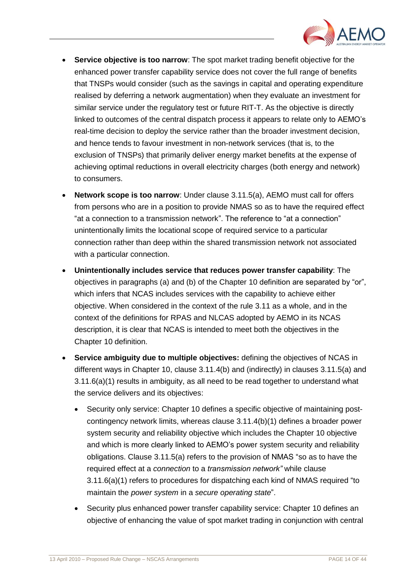

- **Service objective is too narrow**: The spot market trading benefit objective for the enhanced power transfer capability service does not cover the full range of benefits that TNSPs would consider (such as the savings in capital and operating expenditure realised by deferring a network augmentation) when they evaluate an investment for similar service under the regulatory test or future RIT-T. As the objective is directly linked to outcomes of the central dispatch process it appears to relate only to AEMO"s real-time decision to deploy the service rather than the broader investment decision, and hence tends to favour investment in non-network services (that is, to the exclusion of TNSPs) that primarily deliver energy market benefits at the expense of achieving optimal reductions in overall electricity charges (both energy and network) to consumers.
- **Network scope is too narrow**: Under clause 3.11.5(a), AEMO must call for offers from persons who are in a position to provide NMAS so as to have the required effect "at a connection to a transmission network". The reference to "at a connection" unintentionally limits the locational scope of required service to a particular connection rather than deep within the shared transmission network not associated with a particular connection.
- **Unintentionally includes service that reduces power transfer capability**: The objectives in paragraphs (a) and (b) of the Chapter 10 definition are separated by "or", which infers that NCAS includes services with the capability to achieve either objective. When considered in the context of the rule 3.11 as a whole, and in the context of the definitions for RPAS and NLCAS adopted by AEMO in its NCAS description, it is clear that NCAS is intended to meet both the objectives in the Chapter 10 definition.
- **Service ambiguity due to multiple objectives:** defining the objectives of NCAS in different ways in Chapter 10, clause 3.11.4(b) and (indirectly) in clauses 3.11.5(a) and 3.11.6(a)(1) results in ambiguity, as all need to be read together to understand what the service delivers and its objectives:
	- Security only service: Chapter 10 defines a specific objective of maintaining postcontingency network limits, whereas clause 3.11.4(b)(1) defines a broader power system security and reliability objective which includes the Chapter 10 objective and which is more clearly linked to AEMO"s power system security and reliability obligations. Clause 3.11.5(a) refers to the provision of NMAS "so as to have the required effect at a *connection* to a *transmission network"* while clause 3.11.6(a)(1) refers to procedures for dispatching each kind of NMAS required "to maintain the *power system* in a *secure operating state*".
	- Security plus enhanced power transfer capability service: Chapter 10 defines an objective of enhancing the value of spot market trading in conjunction with central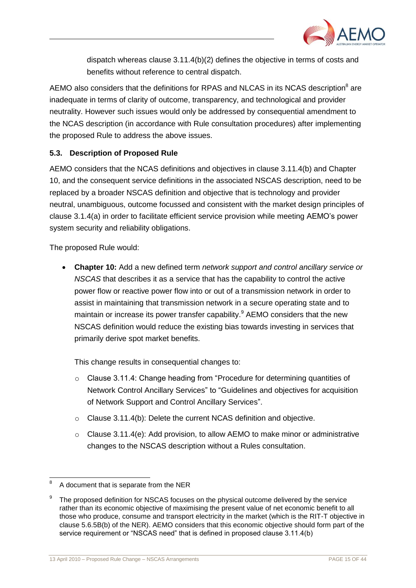

dispatch whereas clause 3.11.4(b)(2) defines the objective in terms of costs and benefits without reference to central dispatch.

AEMO also considers that the definitions for RPAS and NLCAS in its NCAS description<sup>8</sup> are inadequate in terms of clarity of outcome, transparency, and technological and provider neutrality. However such issues would only be addressed by consequential amendment to the NCAS description (in accordance with Rule consultation procedures) after implementing the proposed Rule to address the above issues.

# <span id="page-16-0"></span>**5.3. Description of Proposed Rule**

AEMO considers that the NCAS definitions and objectives in clause 3.11.4(b) and Chapter 10, and the consequent service definitions in the associated NSCAS description, need to be replaced by a broader NSCAS definition and objective that is technology and provider neutral, unambiguous, outcome focussed and consistent with the market design principles of clause 3.1.4(a) in order to facilitate efficient service provision while meeting AEMO"s power system security and reliability obligations.

The proposed Rule would:

 **Chapter 10:** Add a new defined term *network support and control ancillary service or NSCAS* that describes it as a service that has the capability to control the active power flow or reactive power flow into or out of a transmission network in order to assist in maintaining that transmission network in a secure operating state and to maintain or increase its power transfer capability.<sup>9</sup> AEMO considers that the new NSCAS definition would reduce the existing bias towards investing in services that primarily derive spot market benefits.

This change results in consequential changes to:

- $\circ$  Clause 3.11.4: Change heading from "Procedure for determining quantities of Network Control Ancillary Services" to "Guidelines and objectives for acquisition of Network Support and Control Ancillary Services".
- o Clause 3.11.4(b): Delete the current NCAS definition and objective.
- $\circ$  Clause 3.11.4(e): Add provision, to allow AEMO to make minor or administrative changes to the NSCAS description without a Rules consultation.

l 8 A document that is separate from the NER

<sup>9</sup> The proposed definition for NSCAS focuses on the physical outcome delivered by the service rather than its economic objective of maximising the present value of net economic benefit to all those who produce, consume and transport electricity in the market (which is the RIT-T objective in clause 5.6.5B(b) of the NER). AEMO considers that this economic objective should form part of the service requirement or "NSCAS need" that is defined in proposed clause 3.11.4(b)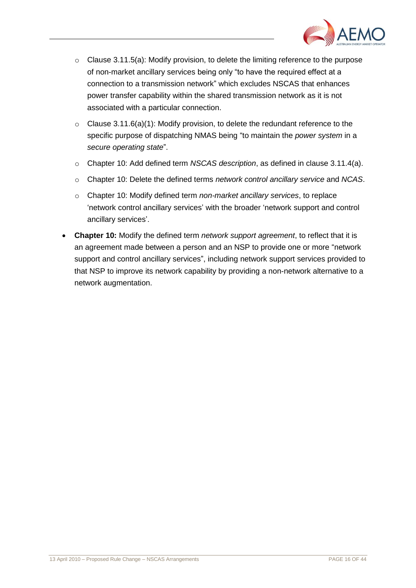

- $\circ$  Clause 3.11.5(a): Modify provision, to delete the limiting reference to the purpose of non-market ancillary services being only "to have the required effect at a connection to a transmission network" which excludes NSCAS that enhances power transfer capability within the shared transmission network as it is not associated with a particular connection.
- $\circ$  Clause 3.11.6(a)(1): Modify provision, to delete the redundant reference to the specific purpose of dispatching NMAS being "to maintain the *power system* in a *secure operating state*".
- o Chapter 10: Add defined term *NSCAS description*, as defined in clause 3.11.4(a).
- o Chapter 10: Delete the defined terms *network control ancillary service* and *NCAS*.
- o Chapter 10: Modify defined term *non-market ancillary services*, to replace "network control ancillary services" with the broader "network support and control ancillary services".
- **Chapter 10:** Modify the defined term *network support agreement*, to reflect that it is an agreement made between a person and an NSP to provide one or more "network support and control ancillary services", including network support services provided to that NSP to improve its network capability by providing a non-network alternative to a network augmentation.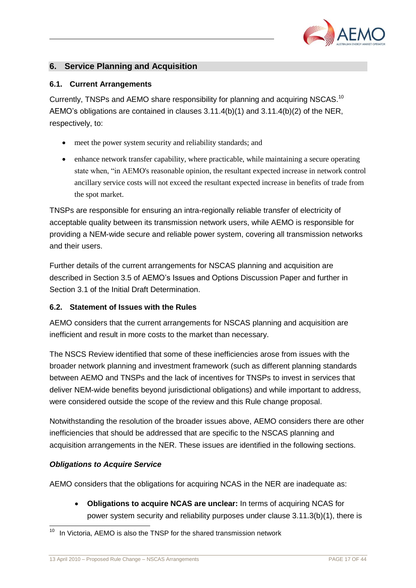

# <span id="page-18-0"></span>**6. Service Planning and Acquisition**

#### <span id="page-18-1"></span>**6.1. Current Arrangements**

Currently, TNSPs and AEMO share responsibility for planning and acquiring NSCAS.<sup>10</sup> AEMO"s obligations are contained in clauses 3.11.4(b)(1) and 3.11.4(b)(2) of the NER, respectively, to:

- meet the power system security and reliability standards; and
- enhance network transfer capability, where practicable, while maintaining a secure operating state when, "in AEMO's reasonable opinion, the resultant expected increase in network control ancillary service costs will not exceed the resultant expected increase in benefits of trade from the spot market.

TNSPs are responsible for ensuring an intra-regionally reliable transfer of electricity of acceptable quality between its transmission network users, while AEMO is responsible for providing a NEM-wide secure and reliable power system, covering all transmission networks and their users.

Further details of the current arrangements for NSCAS planning and acquisition are described in Section 3.5 of AEMO"s Issues and Options Discussion Paper and further in Section 3.1 of the Initial Draft Determination.

#### <span id="page-18-2"></span>**6.2. Statement of Issues with the Rules**

AEMO considers that the current arrangements for NSCAS planning and acquisition are inefficient and result in more costs to the market than necessary.

The NSCS Review identified that some of these inefficiencies arose from issues with the broader network planning and investment framework (such as different planning standards between AEMO and TNSPs and the lack of incentives for TNSPs to invest in services that deliver NEM-wide benefits beyond jurisdictional obligations) and while important to address, were considered outside the scope of the review and this Rule change proposal.

Notwithstanding the resolution of the broader issues above, AEMO considers there are other inefficiencies that should be addressed that are specific to the NSCAS planning and acquisition arrangements in the NER. These issues are identified in the following sections.

#### *Obligations to Acquire Service*

l

AEMO considers that the obligations for acquiring NCAS in the NER are inadequate as:

 **Obligations to acquire NCAS are unclear:** In terms of acquiring NCAS for power system security and reliability purposes under clause 3.11.3(b)(1), there is

In Victoria, AEMO is also the TNSP for the shared transmission network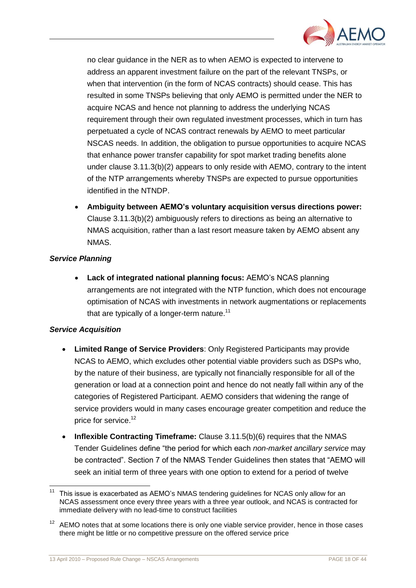

no clear guidance in the NER as to when AEMO is expected to intervene to address an apparent investment failure on the part of the relevant TNSPs, or when that intervention (in the form of NCAS contracts) should cease. This has resulted in some TNSPs believing that only AEMO is permitted under the NER to acquire NCAS and hence not planning to address the underlying NCAS requirement through their own regulated investment processes, which in turn has perpetuated a cycle of NCAS contract renewals by AEMO to meet particular NSCAS needs. In addition, the obligation to pursue opportunities to acquire NCAS that enhance power transfer capability for spot market trading benefits alone under clause 3.11.3(b)(2) appears to only reside with AEMO, contrary to the intent of the NTP arrangements whereby TNSPs are expected to pursue opportunities identified in the NTNDP.

 **Ambiguity between AEMO's voluntary acquisition versus directions power:**  Clause 3.11.3(b)(2) ambiguously refers to directions as being an alternative to NMAS acquisition, rather than a last resort measure taken by AEMO absent any NMAS.

#### *Service Planning*

 **Lack of integrated national planning focus:** AEMO"s NCAS planning arrangements are not integrated with the NTP function, which does not encourage optimisation of NCAS with investments in network augmentations or replacements that are typically of a longer-term nature.<sup>11</sup>

# *Service Acquisition*

- **Limited Range of Service Providers**: Only Registered Participants may provide NCAS to AEMO, which excludes other potential viable providers such as DSPs who, by the nature of their business, are typically not financially responsible for all of the generation or load at a connection point and hence do not neatly fall within any of the categories of Registered Participant. AEMO considers that widening the range of service providers would in many cases encourage greater competition and reduce the price for service.<sup>12</sup>
- Inflexible Contracting Timeframe: Clause 3.11.5(b)(6) requires that the NMAS Tender Guidelines define "the period for which each *non-market ancillary service* may be contracted". Section 7 of the NMAS Tender Guidelines then states that "AEMO will seek an initial term of three years with one option to extend for a period of twelve

 $11$ This issue is exacerbated as AEMO's NMAS tendering guidelines for NCAS only allow for an NCAS assessment once every three years with a three year outlook, and NCAS is contracted for immediate delivery with no lead-time to construct facilities

 $12$  AEMO notes that at some locations there is only one viable service provider, hence in those cases there might be little or no competitive pressure on the offered service price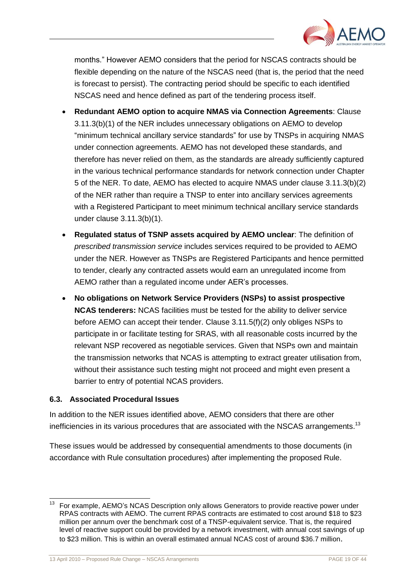

months." However AEMO considers that the period for NSCAS contracts should be flexible depending on the nature of the NSCAS need (that is, the period that the need is forecast to persist). The contracting period should be specific to each identified NSCAS need and hence defined as part of the tendering process itself.

- **Redundant AEMO option to acquire NMAS via Connection Agreements**: Clause 3.11.3(b)(1) of the NER includes unnecessary obligations on AEMO to develop "minimum technical ancillary service standards" for use by TNSPs in acquiring NMAS under connection agreements. AEMO has not developed these standards, and therefore has never relied on them, as the standards are already sufficiently captured in the various technical performance standards for network connection under Chapter 5 of the NER. To date, AEMO has elected to acquire NMAS under clause 3.11.3(b)(2) of the NER rather than require a TNSP to enter into ancillary services agreements with a Registered Participant to meet minimum technical ancillary service standards under clause 3.11.3(b)(1).
- **Regulated status of TSNP assets acquired by AEMO unclear**: The definition of *prescribed transmission service* includes services required to be provided to AEMO under the NER. However as TNSPs are Registered Participants and hence permitted to tender, clearly any contracted assets would earn an unregulated income from AEMO rather than a regulated income under AER"s processes.
- **No obligations on Network Service Providers (NSPs) to assist prospective NCAS tenderers:** NCAS facilities must be tested for the ability to deliver service before AEMO can accept their tender. Clause 3.11.5(f)(2) only obliges NSPs to participate in or facilitate testing for SRAS, with all reasonable costs incurred by the relevant NSP recovered as negotiable services. Given that NSPs own and maintain the transmission networks that NCAS is attempting to extract greater utilisation from, without their assistance such testing might not proceed and might even present a barrier to entry of potential NCAS providers.

#### <span id="page-20-0"></span>**6.3. Associated Procedural Issues**

In addition to the NER issues identified above, AEMO considers that there are other inefficiencies in its various procedures that are associated with the NSCAS arrangements.<sup>13</sup>

These issues would be addressed by consequential amendments to those documents (in accordance with Rule consultation procedures) after implementing the proposed Rule.

l  $13$  For example, AEMO's NCAS Description only allows Generators to provide reactive power under RPAS contracts with AEMO. The current RPAS contracts are estimated to cost around \$18 to \$23 million per annum over the benchmark cost of a TNSP-equivalent service. That is, the required level of reactive support could be provided by a network investment, with annual cost savings of up to \$23 million. This is within an overall estimated annual NCAS cost of around \$36.7 million.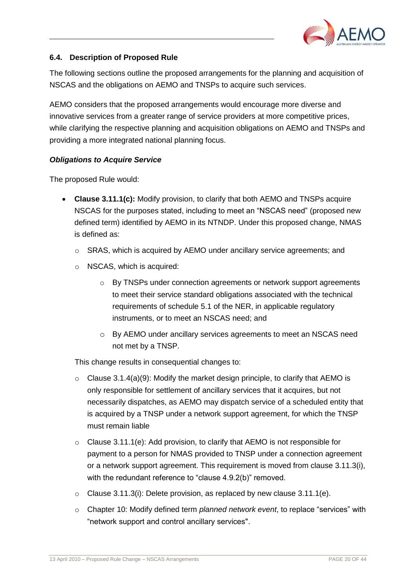

# <span id="page-21-0"></span>**6.4. Description of Proposed Rule**

The following sections outline the proposed arrangements for the planning and acquisition of NSCAS and the obligations on AEMO and TNSPs to acquire such services.

AEMO considers that the proposed arrangements would encourage more diverse and innovative services from a greater range of service providers at more competitive prices, while clarifying the respective planning and acquisition obligations on AEMO and TNSPs and providing a more integrated national planning focus.

#### *Obligations to Acquire Service*

The proposed Rule would:

- **Clause 3.11.1(c):** Modify provision, to clarify that both AEMO and TNSPs acquire NSCAS for the purposes stated, including to meet an "NSCAS need" (proposed new defined term) identified by AEMO in its NTNDP. Under this proposed change, NMAS is defined as:
	- $\circ$  SRAS, which is acquired by AEMO under ancillary service agreements; and
	- o NSCAS, which is acquired:
		- o By TNSPs under connection agreements or network support agreements to meet their service standard obligations associated with the technical requirements of schedule 5.1 of the NER, in applicable regulatory instruments, or to meet an NSCAS need; and
		- o By AEMO under ancillary services agreements to meet an NSCAS need not met by a TNSP.

This change results in consequential changes to:

- $\circ$  Clause 3.1.4(a)(9): Modify the market design principle, to clarify that AEMO is only responsible for settlement of ancillary services that it acquires, but not necessarily dispatches, as AEMO may dispatch service of a scheduled entity that is acquired by a TNSP under a network support agreement, for which the TNSP must remain liable
- $\circ$  Clause 3.11.1(e): Add provision, to clarify that AEMO is not responsible for payment to a person for NMAS provided to TNSP under a connection agreement or a network support agreement. This requirement is moved from clause 3.11.3(i), with the redundant reference to "clause 4.9.2(b)" removed.
- $\circ$  Clause 3.11.3(i): Delete provision, as replaced by new clause 3.11.1(e).
- o Chapter 10: Modify defined term *planned network event*, to replace "services" with "network support and control ancillary services".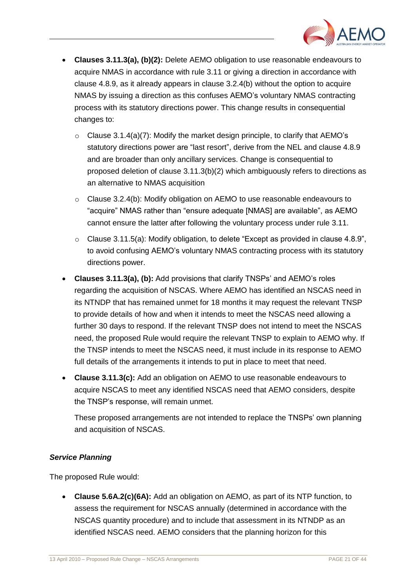

- **Clauses 3.11.3(a), (b)(2):** Delete AEMO obligation to use reasonable endeavours to acquire NMAS in accordance with rule 3.11 or giving a direction in accordance with clause 4.8.9, as it already appears in clause 3.2.4(b) without the option to acquire NMAS by issuing a direction as this confuses AEMO"s voluntary NMAS contracting process with its statutory directions power. This change results in consequential changes to:
	- $\circ$  Clause 3.1.4(a)(7): Modify the market design principle, to clarify that AEMO's statutory directions power are "last resort", derive from the NEL and clause 4.8.9 and are broader than only ancillary services. Change is consequential to proposed deletion of clause 3.11.3(b)(2) which ambiguously refers to directions as an alternative to NMAS acquisition
	- o Clause 3.2.4(b): Modify obligation on AEMO to use reasonable endeavours to "acquire" NMAS rather than "ensure adequate [NMAS] are available", as AEMO cannot ensure the latter after following the voluntary process under rule 3.11.
	- o Clause 3.11.5(a): Modify obligation, to delete "Except as provided in clause 4.8.9", to avoid confusing AEMO"s voluntary NMAS contracting process with its statutory directions power.
- Clauses 3.11.3(a), (b): Add provisions that clarify TNSPs' and AEMO's roles regarding the acquisition of NSCAS. Where AEMO has identified an NSCAS need in its NTNDP that has remained unmet for 18 months it may request the relevant TNSP to provide details of how and when it intends to meet the NSCAS need allowing a further 30 days to respond. If the relevant TNSP does not intend to meet the NSCAS need, the proposed Rule would require the relevant TNSP to explain to AEMO why. If the TNSP intends to meet the NSCAS need, it must include in its response to AEMO full details of the arrangements it intends to put in place to meet that need.
- **Clause 3.11.3(c):** Add an obligation on AEMO to use reasonable endeavours to acquire NSCAS to meet any identified NSCAS need that AEMO considers, despite the TNSP"s response, will remain unmet.

These proposed arrangements are not intended to replace the TNSPs" own planning and acquisition of NSCAS.

# *Service Planning*

The proposed Rule would:

 **Clause 5.6A.2(c)(6A):** Add an obligation on AEMO, as part of its NTP function, to assess the requirement for NSCAS annually (determined in accordance with the NSCAS quantity procedure) and to include that assessment in its NTNDP as an identified NSCAS need. AEMO considers that the planning horizon for this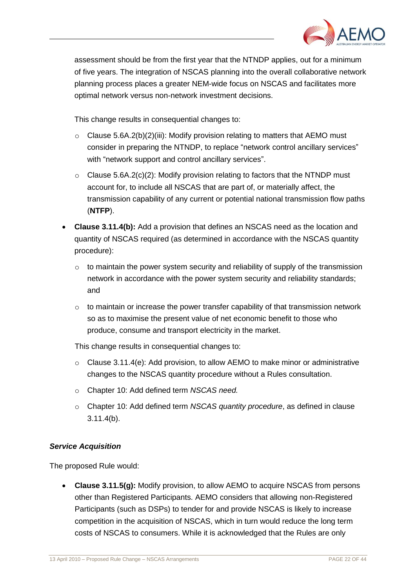

assessment should be from the first year that the NTNDP applies, out for a minimum of five years. The integration of NSCAS planning into the overall collaborative network planning process places a greater NEM-wide focus on NSCAS and facilitates more optimal network versus non-network investment decisions.

This change results in consequential changes to:

- $\circ$  Clause 5.6A.2(b)(2)(iii): Modify provision relating to matters that AEMO must consider in preparing the NTNDP, to replace "network control ancillary services" with "network support and control ancillary services".
- $\circ$  Clause 5.6A.2(c)(2): Modify provision relating to factors that the NTNDP must account for, to include all NSCAS that are part of, or materially affect, the transmission capability of any current or potential national transmission flow paths (**NTFP**).
- **Clause 3.11.4(b):** Add a provision that defines an NSCAS need as the location and quantity of NSCAS required (as determined in accordance with the NSCAS quantity procedure):
	- $\circ$  to maintain the power system security and reliability of supply of the transmission network in accordance with the power system security and reliability standards; and
	- $\circ$  to maintain or increase the power transfer capability of that transmission network so as to maximise the present value of net economic benefit to those who produce, consume and transport electricity in the market.

This change results in consequential changes to:

- $\circ$  Clause 3.11.4(e): Add provision, to allow AEMO to make minor or administrative changes to the NSCAS quantity procedure without a Rules consultation.
- o Chapter 10: Add defined term *NSCAS need.*
- o Chapter 10: Add defined term *NSCAS quantity procedure*, as defined in clause 3.11.4(b).

# *Service Acquisition*

The proposed Rule would:

 **Clause 3.11.5(g):** Modify provision, to allow AEMO to acquire NSCAS from persons other than Registered Participants. AEMO considers that allowing non-Registered Participants (such as DSPs) to tender for and provide NSCAS is likely to increase competition in the acquisition of NSCAS, which in turn would reduce the long term costs of NSCAS to consumers. While it is acknowledged that the Rules are only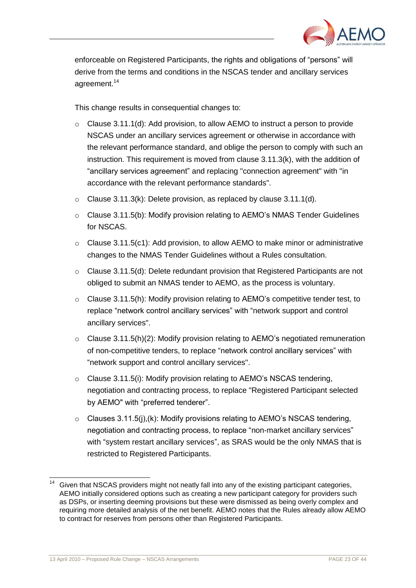

enforceable on Registered Participants, the rights and obligations of "persons" will derive from the terms and conditions in the NSCAS tender and ancillary services agreement. 14

This change results in consequential changes to:

- $\circ$  Clause 3.11.1(d): Add provision, to allow AEMO to instruct a person to provide NSCAS under an ancillary services agreement or otherwise in accordance with the relevant performance standard, and oblige the person to comply with such an instruction. This requirement is moved from clause 3.11.3(k), with the addition of "ancillary services agreement" and replacing "connection agreement" with "in accordance with the relevant performance standards".
- $\circ$  Clause 3.11.3(k): Delete provision, as replaced by clause 3.11.1(d).
- o Clause 3.11.5(b): Modify provision relating to AEMO"s NMAS Tender Guidelines for NSCAS.
- $\circ$  Clause 3.11.5(c1): Add provision, to allow AEMO to make minor or administrative changes to the NMAS Tender Guidelines without a Rules consultation.
- o Clause 3.11.5(d): Delete redundant provision that Registered Participants are not obliged to submit an NMAS tender to AEMO, as the process is voluntary.
- $\circ$  Clause 3.11.5(h): Modify provision relating to AEMO's competitive tender test, to replace "network control ancillary services" with "network support and control ancillary services".
- $\circ$  Clause 3.11.5(h)(2): Modify provision relating to AEMO's negotiated remuneration of non-competitive tenders, to replace "network control ancillary services" with "network support and control ancillary services".
- o Clause 3.11.5(i): Modify provision relating to AEMO"s NSCAS tendering, negotiation and contracting process, to replace "Registered Participant selected by AEMO" with "preferred tenderer".
- $\circ$  Clauses 3.11.5(i), (k): Modify provisions relating to AEMO's NSCAS tendering, negotiation and contracting process, to replace "non-market ancillary services" with "system restart ancillary services", as SRAS would be the only NMAS that is restricted to Registered Participants.

l

Given that NSCAS providers might not neatly fall into any of the existing participant categories, AEMO initially considered options such as creating a new participant category for providers such as DSPs, or inserting deeming provisions but these were dismissed as being overly complex and requiring more detailed analysis of the net benefit. AEMO notes that the Rules already allow AEMO to contract for reserves from persons other than Registered Participants.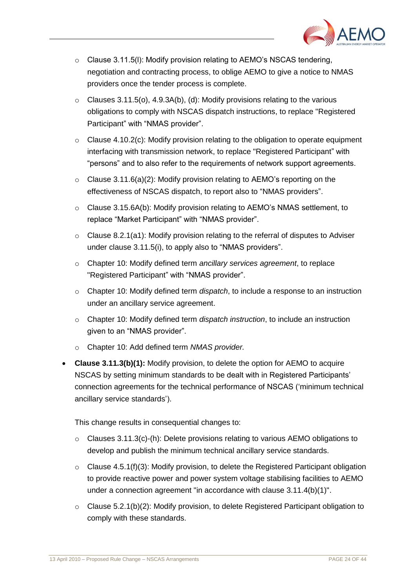

- $\circ$  Clause 3.11.5(I): Modify provision relating to AEMO's NSCAS tendering, negotiation and contracting process, to oblige AEMO to give a notice to NMAS providers once the tender process is complete.
- $\circ$  Clauses 3.11.5(o), 4.9.3A(b), (d): Modify provisions relating to the various obligations to comply with NSCAS dispatch instructions, to replace "Registered Participant" with "NMAS provider".
- $\circ$  Clause 4.10.2(c): Modify provision relating to the obligation to operate equipment interfacing with transmission network, to replace "Registered Participant" with "persons" and to also refer to the requirements of network support agreements.
- $\circ$  Clause 3.11.6(a)(2): Modify provision relating to AEMO's reporting on the effectiveness of NSCAS dispatch, to report also to "NMAS providers".
- $\circ$  Clause 3.15.6A(b): Modify provision relating to AEMO's NMAS settlement, to replace "Market Participant" with "NMAS provider".
- $\circ$  Clause 8.2.1(a1): Modify provision relating to the referral of disputes to Adviser under clause 3.11.5(i), to apply also to "NMAS providers".
- o Chapter 10: Modify defined term *ancillary services agreement*, to replace "Registered Participant" with "NMAS provider".
- o Chapter 10: Modify defined term *dispatch*, to include a response to an instruction under an ancillary service agreement.
- o Chapter 10: Modify defined term *dispatch instruction*, to include an instruction given to an "NMAS provider".
- o Chapter 10: Add defined term *NMAS provider.*
- **Clause 3.11.3(b)(1):** Modify provision, to delete the option for AEMO to acquire NSCAS by setting minimum standards to be dealt with in Registered Participants" connection agreements for the technical performance of NSCAS ("minimum technical ancillary service standards").

This change results in consequential changes to:

- $\circ$  Clauses 3.11.3(c)-(h): Delete provisions relating to various AEMO obligations to develop and publish the minimum technical ancillary service standards.
- $\circ$  Clause 4.5.1(f)(3): Modify provision, to delete the Registered Participant obligation to provide reactive power and power system voltage stabilising facilities to AEMO under a connection agreement "in accordance with clause 3.11.4(b)(1)".
- o Clause 5.2.1(b)(2): Modify provision, to delete Registered Participant obligation to comply with these standards.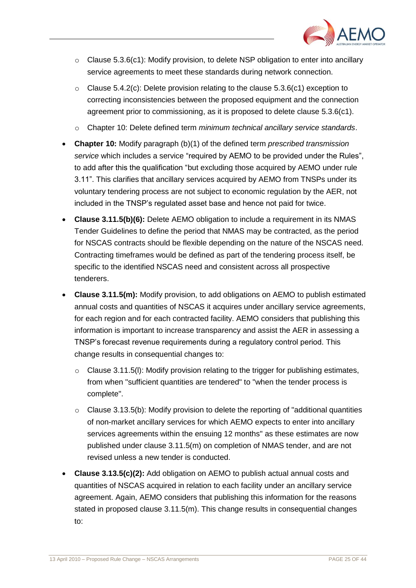

- $\circ$  Clause 5.3.6(c1): Modify provision, to delete NSP obligation to enter into ancillary service agreements to meet these standards during network connection.
- $\circ$  Clause 5.4.2(c): Delete provision relating to the clause 5.3.6(c1) exception to correcting inconsistencies between the proposed equipment and the connection agreement prior to commissioning, as it is proposed to delete clause 5.3.6(c1).
- o Chapter 10: Delete defined term *minimum technical ancillary service standards*.
- **Chapter 10:** Modify paragraph (b)(1) of the defined term *prescribed transmission service* which includes a service "required by AEMO to be provided under the Rules", to add after this the qualification "but excluding those acquired by AEMO under rule 3.11". This clarifies that ancillary services acquired by AEMO from TNSPs under its voluntary tendering process are not subject to economic regulation by the AER, not included in the TNSP"s regulated asset base and hence not paid for twice.
- **Clause 3.11.5(b)(6):** Delete AEMO obligation to include a requirement in its NMAS Tender Guidelines to define the period that NMAS may be contracted, as the period for NSCAS contracts should be flexible depending on the nature of the NSCAS need. Contracting timeframes would be defined as part of the tendering process itself, be specific to the identified NSCAS need and consistent across all prospective tenderers.
- **Clause 3.11.5(m):** Modify provision, to add obligations on AEMO to publish estimated annual costs and quantities of NSCAS it acquires under ancillary service agreements, for each region and for each contracted facility. AEMO considers that publishing this information is important to increase transparency and assist the AER in assessing a TNSP"s forecast revenue requirements during a regulatory control period. This change results in consequential changes to:
	- $\circ$  Clause 3.11.5(I): Modify provision relating to the trigger for publishing estimates, from when "sufficient quantities are tendered" to "when the tender process is complete".
	- $\circ$  Clause 3.13.5(b): Modify provision to delete the reporting of "additional quantities of non-market ancillary services for which AEMO expects to enter into ancillary services agreements within the ensuing 12 months" as these estimates are now published under clause 3.11.5(m) on completion of NMAS tender, and are not revised unless a new tender is conducted.
- **Clause 3.13.5(c)(2):** Add obligation on AEMO to publish actual annual costs and quantities of NSCAS acquired in relation to each facility under an ancillary service agreement. Again, AEMO considers that publishing this information for the reasons stated in proposed clause 3.11.5(m). This change results in consequential changes to: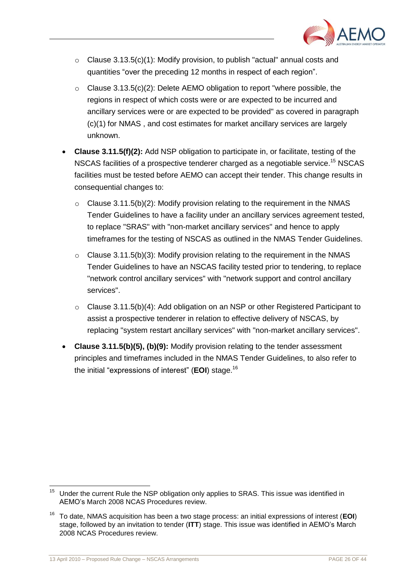

- $\circ$  Clause 3.13.5(c)(1): Modify provision, to publish "actual" annual costs and quantities "over the preceding 12 months in respect of each region".
- o Clause 3.13.5(c)(2): Delete AEMO obligation to report "where possible, the regions in respect of which costs were or are expected to be incurred and ancillary services were or are expected to be provided" as covered in paragraph (c)(1) for NMAS , and cost estimates for market ancillary services are largely unknown.
- **Clause 3.11.5(f)(2):** Add NSP obligation to participate in, or facilitate, testing of the NSCAS facilities of a prospective tenderer charged as a negotiable service.<sup>15</sup> NSCAS facilities must be tested before AEMO can accept their tender. This change results in consequential changes to:
	- $\circ$  Clause 3.11.5(b)(2): Modify provision relating to the requirement in the NMAS Tender Guidelines to have a facility under an ancillary services agreement tested, to replace "SRAS" with "non-market ancillary services" and hence to apply timeframes for the testing of NSCAS as outlined in the NMAS Tender Guidelines.
	- $\circ$  Clause 3.11.5(b)(3): Modify provision relating to the requirement in the NMAS Tender Guidelines to have an NSCAS facility tested prior to tendering, to replace "network control ancillary services" with "network support and control ancillary services".
	- $\circ$  Clause 3.11.5(b)(4): Add obligation on an NSP or other Registered Participant to assist a prospective tenderer in relation to effective delivery of NSCAS, by replacing "system restart ancillary services" with "non-market ancillary services".
- **Clause 3.11.5(b)(5), (b)(9):** Modify provision relating to the tender assessment principles and timeframes included in the NMAS Tender Guidelines, to also refer to the initial "expressions of interest" (**EOI**) stage. 16

<sup>15</sup> Under the current Rule the NSP obligation only applies to SRAS. This issue was identified in AEMO"s March 2008 NCAS Procedures review.

<sup>16</sup> To date, NMAS acquisition has been a two stage process: an initial expressions of interest (**EOI**) stage, followed by an invitation to tender (**ITT**) stage. This issue was identified in AEMO"s March 2008 NCAS Procedures review.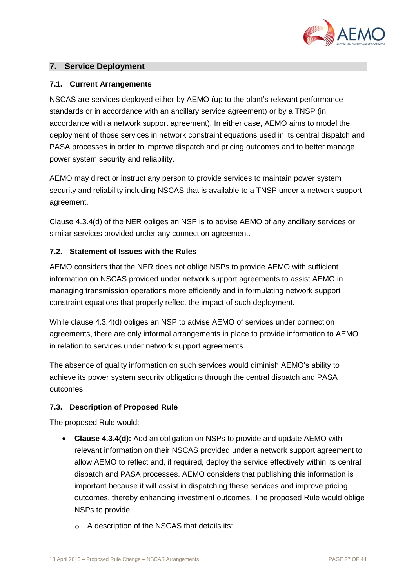

# <span id="page-28-0"></span>**7. Service Deployment**

#### <span id="page-28-1"></span>**7.1. Current Arrangements**

NSCAS are services deployed either by AEMO (up to the plant"s relevant performance standards or in accordance with an ancillary service agreement) or by a TNSP (in accordance with a network support agreement). In either case, AEMO aims to model the deployment of those services in network constraint equations used in its central dispatch and PASA processes in order to improve dispatch and pricing outcomes and to better manage power system security and reliability.

AEMO may direct or instruct any person to provide services to maintain power system security and reliability including NSCAS that is available to a TNSP under a network support agreement.

Clause 4.3.4(d) of the NER obliges an NSP is to advise AEMO of any ancillary services or similar services provided under any connection agreement.

#### <span id="page-28-2"></span>**7.2. Statement of Issues with the Rules**

AEMO considers that the NER does not oblige NSPs to provide AEMO with sufficient information on NSCAS provided under network support agreements to assist AEMO in managing transmission operations more efficiently and in formulating network support constraint equations that properly reflect the impact of such deployment.

While clause 4.3.4(d) obliges an NSP to advise AEMO of services under connection agreements, there are only informal arrangements in place to provide information to AEMO in relation to services under network support agreements.

The absence of quality information on such services would diminish AEMO"s ability to achieve its power system security obligations through the central dispatch and PASA outcomes.

# <span id="page-28-3"></span>**7.3. Description of Proposed Rule**

The proposed Rule would:

- **Clause 4.3.4(d):** Add an obligation on NSPs to provide and update AEMO with relevant information on their NSCAS provided under a network support agreement to allow AEMO to reflect and, if required, deploy the service effectively within its central dispatch and PASA processes. AEMO considers that publishing this information is important because it will assist in dispatching these services and improve pricing outcomes, thereby enhancing investment outcomes. The proposed Rule would oblige NSPs to provide:
	- o A description of the NSCAS that details its: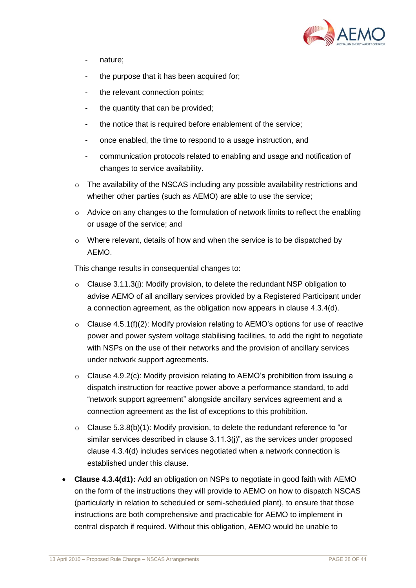

- nature;
- the purpose that it has been acquired for:
- the relevant connection points;
- the quantity that can be provided;
- the notice that is required before enablement of the service;
- once enabled, the time to respond to a usage instruction, and
- communication protocols related to enabling and usage and notification of changes to service availability.
- o The availability of the NSCAS including any possible availability restrictions and whether other parties (such as AEMO) are able to use the service;
- $\circ$  Advice on any changes to the formulation of network limits to reflect the enabling or usage of the service; and
- o Where relevant, details of how and when the service is to be dispatched by AEMO.

This change results in consequential changes to:

- $\circ$  Clause 3.11.3(j): Modify provision, to delete the redundant NSP obligation to advise AEMO of all ancillary services provided by a Registered Participant under a connection agreement, as the obligation now appears in clause 4.3.4(d).
- $\circ$  Clause 4.5.1(f)(2): Modify provision relating to AEMO's options for use of reactive power and power system voltage stabilising facilities, to add the right to negotiate with NSPs on the use of their networks and the provision of ancillary services under network support agreements.
- $\circ$  Clause 4.9.2(c): Modify provision relating to AEMO's prohibition from issuing a dispatch instruction for reactive power above a performance standard, to add "network support agreement" alongside ancillary services agreement and a connection agreement as the list of exceptions to this prohibition.
- $\circ$  Clause 5.3.8(b)(1): Modify provision, to delete the redundant reference to "or similar services described in clause 3.11.3(j)", as the services under proposed clause 4.3.4(d) includes services negotiated when a network connection is established under this clause.
- **Clause 4.3.4(d1):** Add an obligation on NSPs to negotiate in good faith with AEMO on the form of the instructions they will provide to AEMO on how to dispatch NSCAS (particularly in relation to scheduled or semi-scheduled plant), to ensure that those instructions are both comprehensive and practicable for AEMO to implement in central dispatch if required. Without this obligation, AEMO would be unable to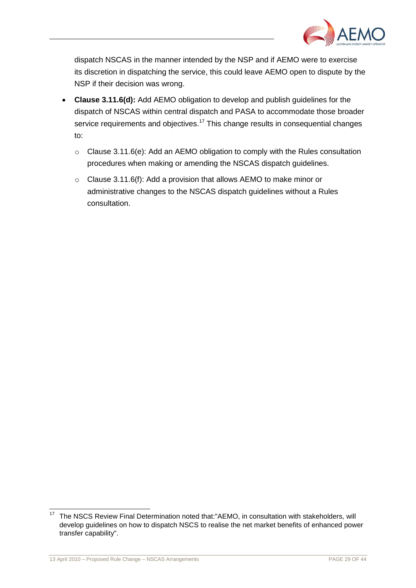

dispatch NSCAS in the manner intended by the NSP and if AEMO were to exercise its discretion in dispatching the service, this could leave AEMO open to dispute by the NSP if their decision was wrong.

- **Clause 3.11.6(d):** Add AEMO obligation to develop and publish guidelines for the dispatch of NSCAS within central dispatch and PASA to accommodate those broader service requirements and objectives.<sup>17</sup> This change results in consequential changes to:
	- o Clause 3.11.6(e): Add an AEMO obligation to comply with the Rules consultation procedures when making or amending the NSCAS dispatch guidelines.
	- o Clause 3.11.6(f): Add a provision that allows AEMO to make minor or administrative changes to the NSCAS dispatch guidelines without a Rules consultation.

l

<sup>17</sup> The NSCS Review Final Determination noted that:"AEMO, in consultation with stakeholders, will develop guidelines on how to dispatch NSCS to realise the net market benefits of enhanced power transfer capability".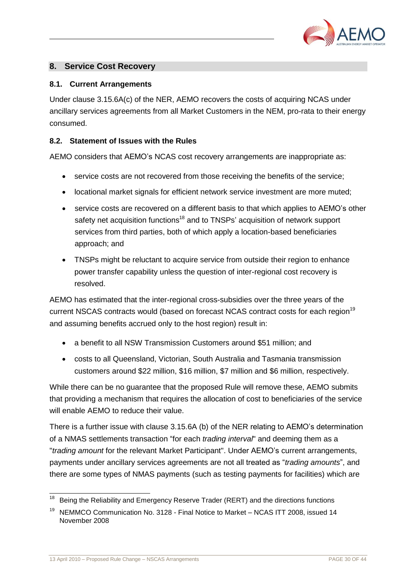

# <span id="page-31-0"></span>**8. Service Cost Recovery**

#### <span id="page-31-1"></span>**8.1. Current Arrangements**

Under clause 3.15.6A(c) of the NER, AEMO recovers the costs of acquiring NCAS under ancillary services agreements from all Market Customers in the NEM, pro-rata to their energy consumed.

#### <span id="page-31-2"></span>**8.2. Statement of Issues with the Rules**

AEMO considers that AEMO"s NCAS cost recovery arrangements are inappropriate as:

- service costs are not recovered from those receiving the benefits of the service;
- locational market signals for efficient network service investment are more muted;
- service costs are recovered on a different basis to that which applies to AEMO's other safety net acquisition functions<sup>18</sup> and to TNSPs' acquisition of network support services from third parties, both of which apply a location-based beneficiaries approach; and
- TNSPs might be reluctant to acquire service from outside their region to enhance power transfer capability unless the question of inter-regional cost recovery is resolved.

AEMO has estimated that the inter-regional cross-subsidies over the three years of the current NSCAS contracts would (based on forecast NCAS contract costs for each region<sup>19</sup> and assuming benefits accrued only to the host region) result in:

- a benefit to all NSW Transmission Customers around \$51 million; and
- costs to all Queensland, Victorian, South Australia and Tasmania transmission customers around \$22 million, \$16 million, \$7 million and \$6 million, respectively.

While there can be no guarantee that the proposed Rule will remove these, AEMO submits that providing a mechanism that requires the allocation of cost to beneficiaries of the service will enable AEMO to reduce their value.

There is a further issue with clause 3.15.6A (b) of the NER relating to AEMO"s determination of a NMAS settlements transaction "for each *trading interval*" and deeming them as a "*trading amount* for the relevant Market Participant". Under AEMO"s current arrangements, payments under ancillary services agreements are not all treated as "*trading amounts*", and there are some types of NMAS payments (such as testing payments for facilities) which are

 $\overline{\phantom{a}}$ <sup>18</sup>Being the Reliability and Emergency Reserve Trader (RERT) and the directions functions

<sup>19</sup> NEMMCO Communication No. 3128 - Final Notice to Market – NCAS ITT 2008, issued 14 November 2008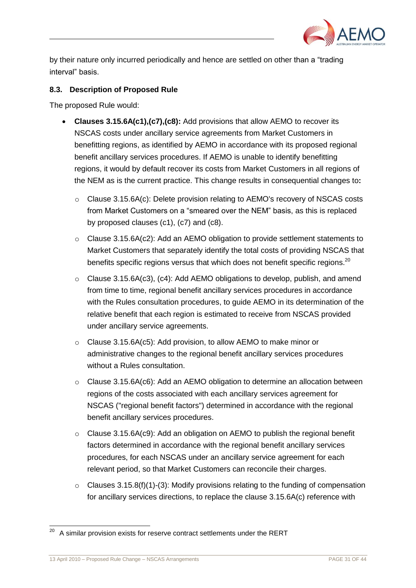

by their nature only incurred periodically and hence are settled on other than a "trading interval" basis.

#### <span id="page-32-0"></span>**8.3. Description of Proposed Rule**

The proposed Rule would:

- **Clauses 3.15.6A(c1),(c7),(c8):** Add provisions that allow AEMO to recover its NSCAS costs under ancillary service agreements from Market Customers in benefitting regions, as identified by AEMO in accordance with its proposed regional benefit ancillary services procedures. If AEMO is unable to identify benefitting regions, it would by default recover its costs from Market Customers in all regions of the NEM as is the current practice. This change results in consequential changes to**:**
	- o Clause 3.15.6A(c): Delete provision relating to AEMO's recovery of NSCAS costs from Market Customers on a "smeared over the NEM" basis, as this is replaced by proposed clauses (c1), (c7) and (c8).
	- $\circ$  Clause 3.15.6A(c2): Add an AEMO obligation to provide settlement statements to Market Customers that separately identify the total costs of providing NSCAS that benefits specific regions versus that which does not benefit specific regions.<sup>20</sup>
	- o Clause 3.15.6A(c3), (c4): Add AEMO obligations to develop, publish, and amend from time to time, regional benefit ancillary services procedures in accordance with the Rules consultation procedures, to guide AEMO in its determination of the relative benefit that each region is estimated to receive from NSCAS provided under ancillary service agreements.
	- o Clause 3.15.6A(c5): Add provision, to allow AEMO to make minor or administrative changes to the regional benefit ancillary services procedures without a Rules consultation.
	- o Clause 3.15.6A(c6): Add an AEMO obligation to determine an allocation between regions of the costs associated with each ancillary services agreement for NSCAS ("regional benefit factors") determined in accordance with the regional benefit ancillary services procedures.
	- o Clause 3.15.6A(c9): Add an obligation on AEMO to publish the regional benefit factors determined in accordance with the regional benefit ancillary services procedures, for each NSCAS under an ancillary service agreement for each relevant period, so that Market Customers can reconcile their charges.
	- $\circ$  Clauses 3.15.8(f)(1)-(3): Modify provisions relating to the funding of compensation for ancillary services directions, to replace the clause 3.15.6A(c) reference with

l

A similar provision exists for reserve contract settlements under the RERT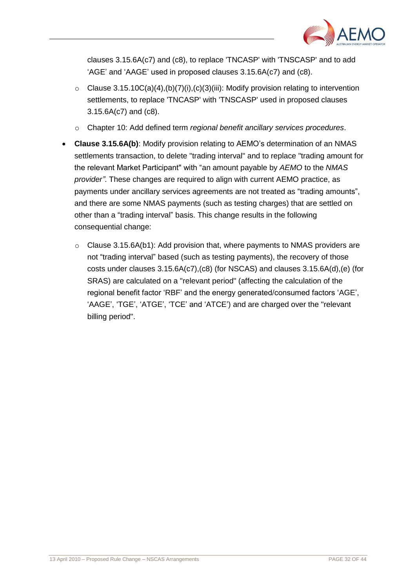

clauses 3.15.6A(c7) and (c8), to replace 'TNCASP' with 'TNSCASP' and to add 'AGE' and 'AAGE' used in proposed clauses 3.15.6A(c7) and (c8).

- $\circ$  Clause 3.15.10C(a)(4),(b)(7)(i),(c)(3)(iii): Modify provision relating to intervention settlements, to replace 'TNCASP' with 'TNSCASP' used in proposed clauses 3.15.6A(c7) and (c8).
- o Chapter 10: Add defined term *regional benefit ancillary services procedures*.
- **Clause 3.15.6A(b)**: Modify provision relating to AEMO"s determination of an NMAS settlements transaction, to delete "trading interval" and to replace "trading amount for the relevant Market Participant" with "an amount payable by *AEMO* to the *NMAS provider"*. These changes are required to align with current AEMO practice, as payments under ancillary services agreements are not treated as "trading amounts", and there are some NMAS payments (such as testing charges) that are settled on other than a "trading interval" basis. This change results in the following consequential change:
	- o Clause 3.15.6A(b1): Add provision that, where payments to NMAS providers are not "trading interval" based (such as testing payments), the recovery of those costs under clauses 3.15.6A(c7),(c8) (for NSCAS) and clauses 3.15.6A(d),(e) (for SRAS) are calculated on a "relevant period" (affecting the calculation of the regional benefit factor "RBF" and the energy generated/consumed factors "AGE", 'AAGE', 'TGE', 'ATGE', 'TCE' and 'ATCE') and are charged over the "relevant billing period".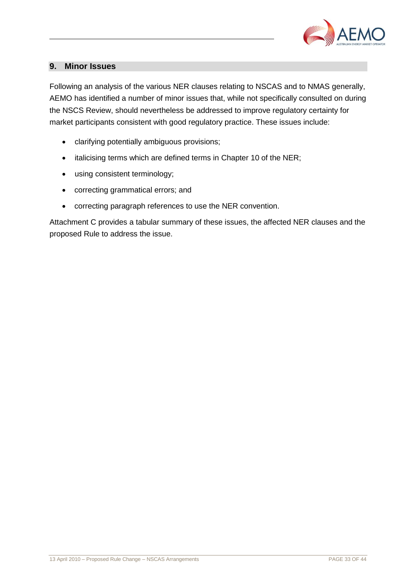

# <span id="page-34-0"></span>**9. Minor Issues**

Following an analysis of the various NER clauses relating to NSCAS and to NMAS generally, AEMO has identified a number of minor issues that, while not specifically consulted on during the NSCS Review, should nevertheless be addressed to improve regulatory certainty for market participants consistent with good regulatory practice. These issues include:

- clarifying potentially ambiguous provisions;
- italicising terms which are defined terms in Chapter 10 of the NER;
- using consistent terminology;
- correcting grammatical errors; and
- correcting paragraph references to use the NER convention.

Attachment C provides a tabular summary of these issues, the affected NER clauses and the proposed Rule to address the issue.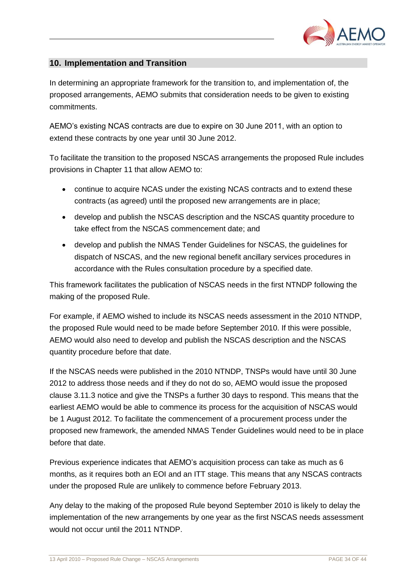

# <span id="page-35-0"></span>**10. Implementation and Transition**

In determining an appropriate framework for the transition to, and implementation of, the proposed arrangements, AEMO submits that consideration needs to be given to existing commitments.

AEMO"s existing NCAS contracts are due to expire on 30 June 2011, with an option to extend these contracts by one year until 30 June 2012.

To facilitate the transition to the proposed NSCAS arrangements the proposed Rule includes provisions in Chapter 11 that allow AEMO to:

- continue to acquire NCAS under the existing NCAS contracts and to extend these contracts (as agreed) until the proposed new arrangements are in place;
- develop and publish the NSCAS description and the NSCAS quantity procedure to take effect from the NSCAS commencement date; and
- develop and publish the NMAS Tender Guidelines for NSCAS, the guidelines for dispatch of NSCAS, and the new regional benefit ancillary services procedures in accordance with the Rules consultation procedure by a specified date.

This framework facilitates the publication of NSCAS needs in the first NTNDP following the making of the proposed Rule.

For example, if AEMO wished to include its NSCAS needs assessment in the 2010 NTNDP, the proposed Rule would need to be made before September 2010. If this were possible, AEMO would also need to develop and publish the NSCAS description and the NSCAS quantity procedure before that date.

If the NSCAS needs were published in the 2010 NTNDP, TNSPs would have until 30 June 2012 to address those needs and if they do not do so, AEMO would issue the proposed clause 3.11.3 notice and give the TNSPs a further 30 days to respond. This means that the earliest AEMO would be able to commence its process for the acquisition of NSCAS would be 1 August 2012. To facilitate the commencement of a procurement process under the proposed new framework, the amended NMAS Tender Guidelines would need to be in place before that date.

Previous experience indicates that AEMO"s acquisition process can take as much as 6 months, as it requires both an EOI and an ITT stage. This means that any NSCAS contracts under the proposed Rule are unlikely to commence before February 2013.

Any delay to the making of the proposed Rule beyond September 2010 is likely to delay the implementation of the new arrangements by one year as the first NSCAS needs assessment would not occur until the 2011 NTNDP.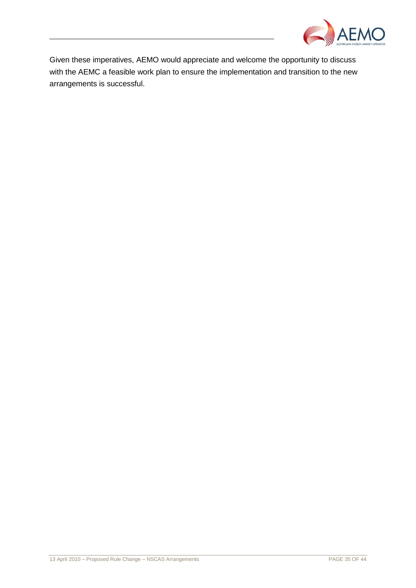

Given these imperatives, AEMO would appreciate and welcome the opportunity to discuss with the AEMC a feasible work plan to ensure the implementation and transition to the new arrangements is successful.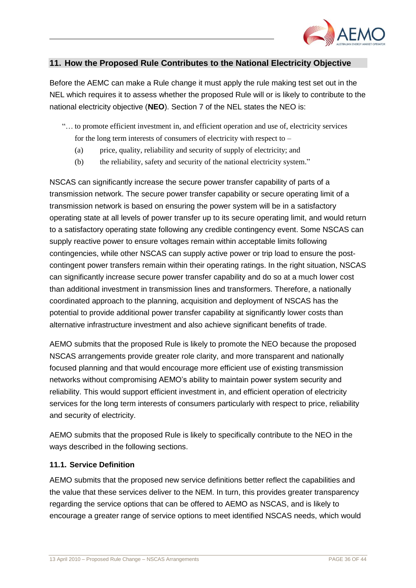

# <span id="page-37-0"></span>**11. How the Proposed Rule Contributes to the National Electricity Objective**

Before the AEMC can make a Rule change it must apply the rule making test set out in the NEL which requires it to assess whether the proposed Rule will or is likely to contribute to the national electricity objective (**NEO**). Section 7 of the NEL states the NEO is:

- "… to promote efficient investment in, and efficient operation and use of, electricity services for the long term interests of consumers of electricity with respect to –
	- (a) price, quality, reliability and security of supply of electricity; and
	- (b) the reliability, safety and security of the national electricity system."

NSCAS can significantly increase the secure power transfer capability of parts of a transmission network. The secure power transfer capability or secure operating limit of a transmission network is based on ensuring the power system will be in a satisfactory operating state at all levels of power transfer up to its secure operating limit, and would return to a satisfactory operating state following any credible contingency event. Some NSCAS can supply reactive power to ensure voltages remain within acceptable limits following contingencies, while other NSCAS can supply active power or trip load to ensure the postcontingent power transfers remain within their operating ratings. In the right situation, NSCAS can significantly increase secure power transfer capability and do so at a much lower cost than additional investment in transmission lines and transformers. Therefore, a nationally coordinated approach to the planning, acquisition and deployment of NSCAS has the potential to provide additional power transfer capability at significantly lower costs than alternative infrastructure investment and also achieve significant benefits of trade.

AEMO submits that the proposed Rule is likely to promote the NEO because the proposed NSCAS arrangements provide greater role clarity, and more transparent and nationally focused planning and that would encourage more efficient use of existing transmission networks without compromising AEMO"s ability to maintain power system security and reliability. This would support efficient investment in, and efficient operation of electricity services for the long term interests of consumers particularly with respect to price, reliability and security of electricity.

AEMO submits that the proposed Rule is likely to specifically contribute to the NEO in the ways described in the following sections.

#### <span id="page-37-1"></span>**11.1. Service Definition**

AEMO submits that the proposed new service definitions better reflect the capabilities and the value that these services deliver to the NEM. In turn, this provides greater transparency regarding the service options that can be offered to AEMO as NSCAS, and is likely to encourage a greater range of service options to meet identified NSCAS needs, which would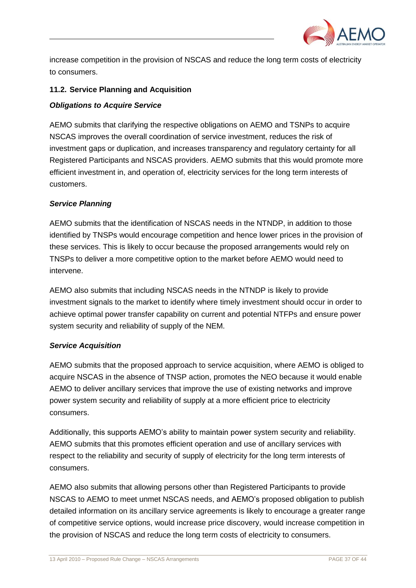

increase competition in the provision of NSCAS and reduce the long term costs of electricity to consumers.

#### <span id="page-38-0"></span>**11.2. Service Planning and Acquisition**

#### *Obligations to Acquire Service*

AEMO submits that clarifying the respective obligations on AEMO and TSNPs to acquire NSCAS improves the overall coordination of service investment, reduces the risk of investment gaps or duplication, and increases transparency and regulatory certainty for all Registered Participants and NSCAS providers. AEMO submits that this would promote more efficient investment in, and operation of, electricity services for the long term interests of customers.

#### *Service Planning*

AEMO submits that the identification of NSCAS needs in the NTNDP, in addition to those identified by TNSPs would encourage competition and hence lower prices in the provision of these services. This is likely to occur because the proposed arrangements would rely on TNSPs to deliver a more competitive option to the market before AEMO would need to intervene.

AEMO also submits that including NSCAS needs in the NTNDP is likely to provide investment signals to the market to identify where timely investment should occur in order to achieve optimal power transfer capability on current and potential NTFPs and ensure power system security and reliability of supply of the NEM.

#### *Service Acquisition*

AEMO submits that the proposed approach to service acquisition, where AEMO is obliged to acquire NSCAS in the absence of TNSP action, promotes the NEO because it would enable AEMO to deliver ancillary services that improve the use of existing networks and improve power system security and reliability of supply at a more efficient price to electricity consumers.

Additionally, this supports AEMO"s ability to maintain power system security and reliability. AEMO submits that this promotes efficient operation and use of ancillary services with respect to the reliability and security of supply of electricity for the long term interests of consumers.

AEMO also submits that allowing persons other than Registered Participants to provide NSCAS to AEMO to meet unmet NSCAS needs, and AEMO"s proposed obligation to publish detailed information on its ancillary service agreements is likely to encourage a greater range of competitive service options, would increase price discovery, would increase competition in the provision of NSCAS and reduce the long term costs of electricity to consumers.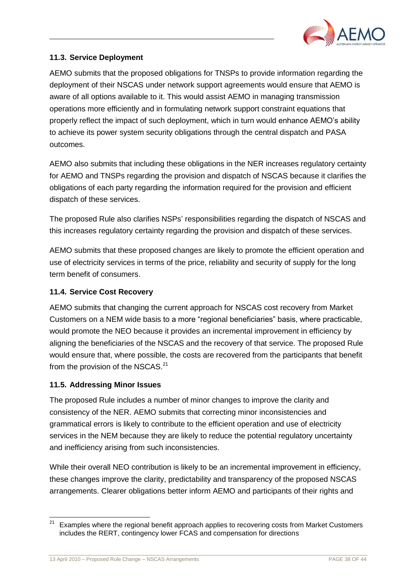

# <span id="page-39-0"></span>**11.3. Service Deployment**

AEMO submits that the proposed obligations for TNSPs to provide information regarding the deployment of their NSCAS under network support agreements would ensure that AEMO is aware of all options available to it. This would assist AEMO in managing transmission operations more efficiently and in formulating network support constraint equations that properly reflect the impact of such deployment, which in turn would enhance AEMO"s ability to achieve its power system security obligations through the central dispatch and PASA outcomes.

AEMO also submits that including these obligations in the NER increases regulatory certainty for AEMO and TNSPs regarding the provision and dispatch of NSCAS because it clarifies the obligations of each party regarding the information required for the provision and efficient dispatch of these services.

The proposed Rule also clarifies NSPs" responsibilities regarding the dispatch of NSCAS and this increases regulatory certainty regarding the provision and dispatch of these services.

AEMO submits that these proposed changes are likely to promote the efficient operation and use of electricity services in terms of the price, reliability and security of supply for the long term benefit of consumers.

# <span id="page-39-1"></span>**11.4. Service Cost Recovery**

AEMO submits that changing the current approach for NSCAS cost recovery from Market Customers on a NEM wide basis to a more "regional beneficiaries" basis, where practicable, would promote the NEO because it provides an incremental improvement in efficiency by aligning the beneficiaries of the NSCAS and the recovery of that service. The proposed Rule would ensure that, where possible, the costs are recovered from the participants that benefit from the provision of the NSCAS.<sup>21</sup>

# <span id="page-39-2"></span>**11.5. Addressing Minor Issues**

The proposed Rule includes a number of minor changes to improve the clarity and consistency of the NER. AEMO submits that correcting minor inconsistencies and grammatical errors is likely to contribute to the efficient operation and use of electricity services in the NEM because they are likely to reduce the potential regulatory uncertainty and inefficiency arising from such inconsistencies.

While their overall NEO contribution is likely to be an incremental improvement in efficiency, these changes improve the clarity, predictability and transparency of the proposed NSCAS arrangements. Clearer obligations better inform AEMO and participants of their rights and

 $21$ Examples where the regional benefit approach applies to recovering costs from Market Customers includes the RERT, contingency lower FCAS and compensation for directions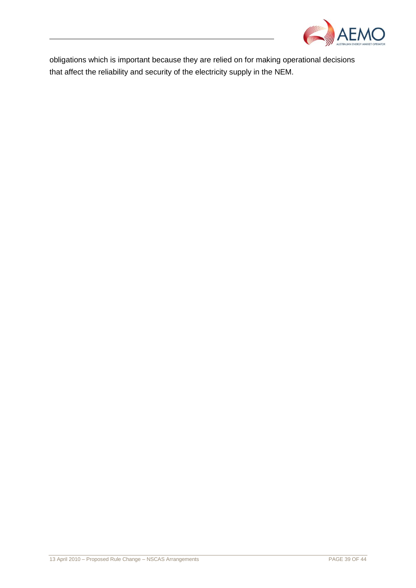

obligations which is important because they are relied on for making operational decisions that affect the reliability and security of the electricity supply in the NEM.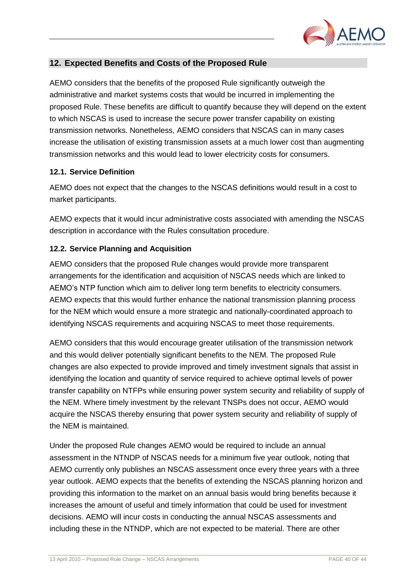

# <span id="page-41-0"></span>**12. Expected Benefits and Costs of the Proposed Rule**

AEMO considers that the benefits of the proposed Rule significantly outweigh the administrative and market systems costs that would be incurred in implementing the proposed Rule. These benefits are difficult to quantify because they will depend on the extent to which NSCAS is used to increase the secure power transfer capability on existing transmission networks. Nonetheless, AEMO considers that NSCAS can in many cases increase the utilisation of existing transmission assets at a much lower cost than augmenting transmission networks and this would lead to lower electricity costs for consumers.

#### <span id="page-41-1"></span>**12.1. Service Definition**

AEMO does not expect that the changes to the NSCAS definitions would result in a cost to market participants.

AEMO expects that it would incur administrative costs associated with amending the NSCAS description in accordance with the Rules consultation procedure.

# <span id="page-41-2"></span>**12.2. Service Planning and Acquisition**

AEMO considers that the proposed Rule changes would provide more transparent arrangements for the identification and acquisition of NSCAS needs which are linked to AEMO"s NTP function which aim to deliver long term benefits to electricity consumers. AEMO expects that this would further enhance the national transmission planning process for the NEM which would ensure a more strategic and nationally-coordinated approach to identifying NSCAS requirements and acquiring NSCAS to meet those requirements.

AEMO considers that this would encourage greater utilisation of the transmission network and this would deliver potentially significant benefits to the NEM. The proposed Rule changes are also expected to provide improved and timely investment signals that assist in identifying the location and quantity of service required to achieve optimal levels of power transfer capability on NTFPs while ensuring power system security and reliability of supply of the NEM. Where timely investment by the relevant TNSPs does not occur, AEMO would acquire the NSCAS thereby ensuring that power system security and reliability of supply of the NEM is maintained.

Under the proposed Rule changes AEMO would be required to include an annual assessment in the NTNDP of NSCAS needs for a minimum five year outlook, noting that AEMO currently only publishes an NSCAS assessment once every three years with a three year outlook. AEMO expects that the benefits of extending the NSCAS planning horizon and providing this information to the market on an annual basis would bring benefits because it increases the amount of useful and timely information that could be used for investment decisions. AEMO will incur costs in conducting the annual NSCAS assessments and including these in the NTNDP, which are not expected to be material. There are other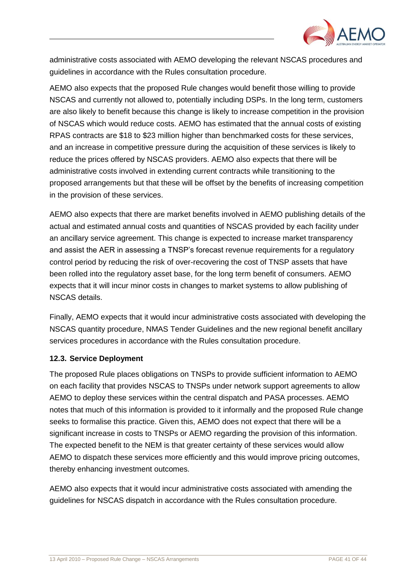

administrative costs associated with AEMO developing the relevant NSCAS procedures and guidelines in accordance with the Rules consultation procedure.

AEMO also expects that the proposed Rule changes would benefit those willing to provide NSCAS and currently not allowed to, potentially including DSPs. In the long term, customers are also likely to benefit because this change is likely to increase competition in the provision of NSCAS which would reduce costs. AEMO has estimated that the annual costs of existing RPAS contracts are \$18 to \$23 million higher than benchmarked costs for these services, and an increase in competitive pressure during the acquisition of these services is likely to reduce the prices offered by NSCAS providers. AEMO also expects that there will be administrative costs involved in extending current contracts while transitioning to the proposed arrangements but that these will be offset by the benefits of increasing competition in the provision of these services.

AEMO also expects that there are market benefits involved in AEMO publishing details of the actual and estimated annual costs and quantities of NSCAS provided by each facility under an ancillary service agreement. This change is expected to increase market transparency and assist the AER in assessing a TNSP"s forecast revenue requirements for a regulatory control period by reducing the risk of over-recovering the cost of TNSP assets that have been rolled into the regulatory asset base, for the long term benefit of consumers. AEMO expects that it will incur minor costs in changes to market systems to allow publishing of NSCAS details.

Finally, AEMO expects that it would incur administrative costs associated with developing the NSCAS quantity procedure, NMAS Tender Guidelines and the new regional benefit ancillary services procedures in accordance with the Rules consultation procedure.

#### <span id="page-42-0"></span>**12.3. Service Deployment**

The proposed Rule places obligations on TNSPs to provide sufficient information to AEMO on each facility that provides NSCAS to TNSPs under network support agreements to allow AEMO to deploy these services within the central dispatch and PASA processes. AEMO notes that much of this information is provided to it informally and the proposed Rule change seeks to formalise this practice. Given this, AEMO does not expect that there will be a significant increase in costs to TNSPs or AEMO regarding the provision of this information. The expected benefit to the NEM is that greater certainty of these services would allow AEMO to dispatch these services more efficiently and this would improve pricing outcomes, thereby enhancing investment outcomes.

AEMO also expects that it would incur administrative costs associated with amending the guidelines for NSCAS dispatch in accordance with the Rules consultation procedure.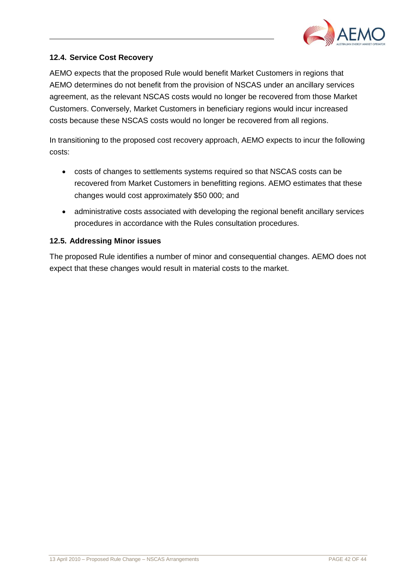

# <span id="page-43-0"></span>**12.4. Service Cost Recovery**

AEMO expects that the proposed Rule would benefit Market Customers in regions that AEMO determines do not benefit from the provision of NSCAS under an ancillary services agreement, as the relevant NSCAS costs would no longer be recovered from those Market Customers. Conversely, Market Customers in beneficiary regions would incur increased costs because these NSCAS costs would no longer be recovered from all regions.

In transitioning to the proposed cost recovery approach, AEMO expects to incur the following costs:

- costs of changes to settlements systems required so that NSCAS costs can be recovered from Market Customers in benefitting regions. AEMO estimates that these changes would cost approximately \$50 000; and
- administrative costs associated with developing the regional benefit ancillary services procedures in accordance with the Rules consultation procedures.

# <span id="page-43-1"></span>**12.5. Addressing Minor issues**

The proposed Rule identifies a number of minor and consequential changes. AEMO does not expect that these changes would result in material costs to the market.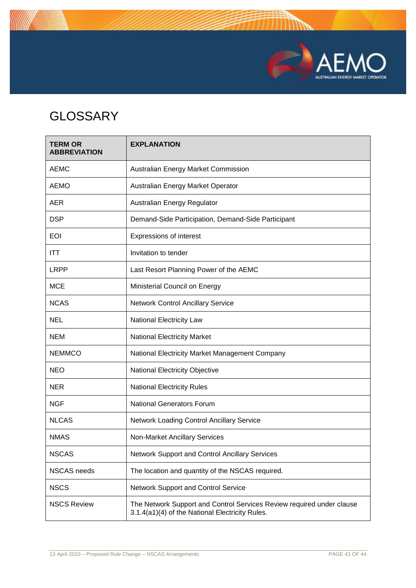

# <span id="page-44-0"></span>**GLOSSARY**

| <b>TERM OR</b><br><b>ABBREVIATION</b> | <b>EXPLANATION</b>                                                                                                       |
|---------------------------------------|--------------------------------------------------------------------------------------------------------------------------|
| <b>AEMC</b>                           | Australian Energy Market Commission                                                                                      |
| <b>AEMO</b>                           | Australian Energy Market Operator                                                                                        |
| <b>AER</b>                            | Australian Energy Regulator                                                                                              |
| <b>DSP</b>                            | Demand-Side Participation, Demand-Side Participant                                                                       |
| <b>EOI</b>                            | Expressions of interest                                                                                                  |
| <b>ITT</b>                            | Invitation to tender                                                                                                     |
| <b>LRPP</b>                           | Last Resort Planning Power of the AEMC                                                                                   |
| <b>MCE</b>                            | Ministerial Council on Energy                                                                                            |
| <b>NCAS</b>                           | <b>Network Control Ancillary Service</b>                                                                                 |
| <b>NEL</b>                            | <b>National Electricity Law</b>                                                                                          |
| <b>NEM</b>                            | <b>National Electricity Market</b>                                                                                       |
| <b>NEMMCO</b>                         | National Electricity Market Management Company                                                                           |
| <b>NEO</b>                            | National Electricity Objective                                                                                           |
| <b>NER</b>                            | <b>National Electricity Rules</b>                                                                                        |
| <b>NGF</b>                            | <b>National Generators Forum</b>                                                                                         |
| <b>NLCAS</b>                          | Network Loading Control Ancillary Service                                                                                |
| <b>NMAS</b>                           | Non-Market Ancillary Services                                                                                            |
| <b>NSCAS</b>                          | Network Support and Control Ancillary Services                                                                           |
| <b>NSCAS</b> needs                    | The location and quantity of the NSCAS required.                                                                         |
| <b>NSCS</b>                           | <b>Network Support and Control Service</b>                                                                               |
| <b>NSCS Review</b>                    | The Network Support and Control Services Review required under clause<br>3.1.4(a1)(4) of the National Electricity Rules. |